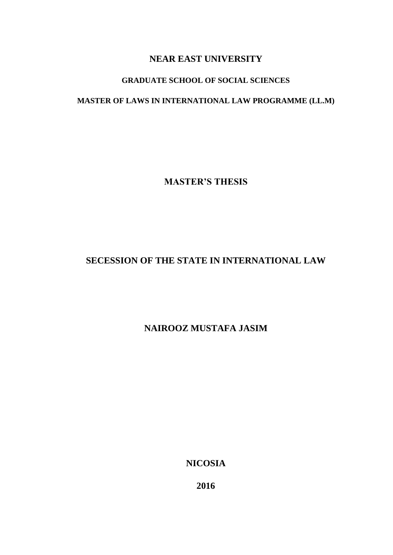# **NEAR EAST UNIVERSITY**

# **GRADUATE SCHOOL OF SOCIAL SCIENCES**

# **MASTER OF LAWS IN INTERNATIONAL LAW PROGRAMME (LL.M)**

**MASTER'S THESIS**

# **SECESSION OF THE STATE IN INTERNATIONAL LAW**

# **NAIROOZ MUSTAFA JASIM**

**NICOSIA**

**2016**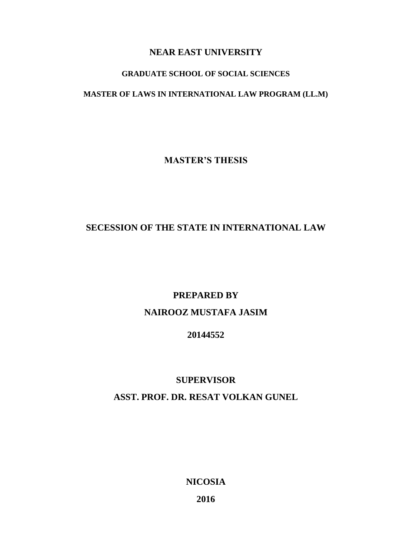# **NEAR EAST UNIVERSITY**

## **GRADUATE SCHOOL OF SOCIAL SCIENCES**

## **MASTER OF LAWS IN INTERNATIONAL LAW PROGRAM (LL.M)**

**MASTER'S THESIS**

# **SECESSION OF THE STATE IN INTERNATIONAL LAW**

## **PREPARED BY**

# **NAIROOZ MUSTAFA JASIM**

## **20144552**

## **SUPERVISOR**

## **ASST. PROF. DR. RESAT VOLKAN GUNEL**

**NICOSIA**

**2016**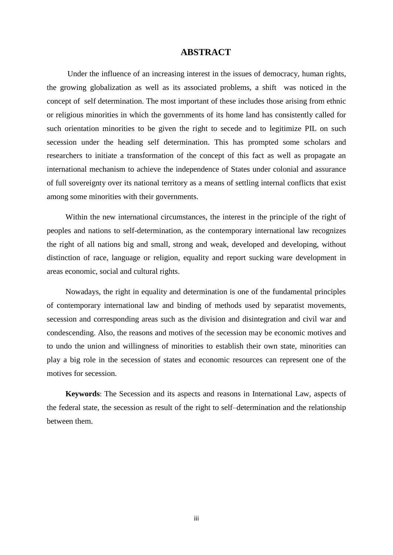## **ABSTRACT**

<span id="page-2-0"></span>Under the influence of an increasing interest in the issues of democracy, human rights, the growing globalization as well as its associated problems, a shift was noticed in the concept of self determination. The most important of these includes those arising from ethnic or religious minorities in which the governments of its home land has consistently called for such orientation minorities to be given the right to secede and to legitimize PIL on such secession under the heading self determination. This has prompted some scholars and researchers to initiate a transformation of the concept of this fact as well as propagate an international mechanism to achieve the independence of States under colonial and assurance of full sovereignty over its national territory as a means of settling internal conflicts that exist among some minorities with their governments.

Within the new international circumstances, the interest in the principle of the right of peoples and nations to self-determination, as the contemporary international law recognizes the right of all nations big and small, strong and weak, developed and developing, without distinction of race, language or religion, equality and report sucking ware development in areas economic, social and cultural rights.

Nowadays, the right in equality and determination is one of the fundamental principles of contemporary international law and binding of methods used by separatist movements, secession and corresponding areas such as the division and disintegration and civil war and condescending. Also, the reasons and motives of the secession may be economic motives and to undo the union and willingness of minorities to establish their own state, minorities can play a big role in the secession of states and economic resources can represent one of the motives for secession.

**Keywords**: [The Secession and its aspects and reasons in International Law, aspects of](#page-12-0)  [the federal state,](#page-12-0) [the secession as result of the right to self–determination and the relationship](#page-40-0)  [between them.](#page-40-0)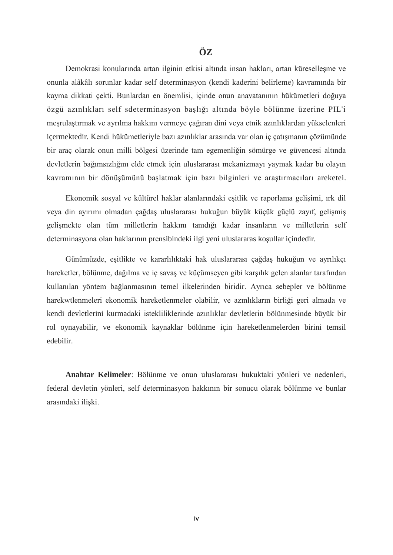# **ÖZ**

Demokrasi konularında artan ilginin etkisi altında insan hakları, artan küreselleşme ve onunla alâkâlı sorunlar kadar self determinasyon (kendi kaderini belirleme) kavramında bir kayma dikkati çekti. Bunlardan en önemlisi, içinde onun anavatanının hükümetleri doğuya özgü azınlıkları self sdeterminasyon başlığı altında böyle bölünme üzerine PIL'i meşrulaştırmak ve ayrılma hakkını vermeye çağıran dini veya etnik azınlıklardan yükselenleri içermektedir. Kendi hükümetleriyle bazı azınlıklar arasında var olan iç çatışmanın çözümünde bir araç olarak onun milli bölgesi üzerinde tam egemenliğin sömürge ve güvencesi altında devletlerin bağımsızlığını elde etmek için uluslararası mekanizmayı yaymak kadar bu olayın kavramının bir dönüşümünü başlatmak için bazı bilginleri ve araştırmacıları areketei.

Ekonomik sosyal ve kültürel haklar alanlarındaki eşitlik ve raporlama gelişimi, ırk dil veya din ayırımı olmadan çağdaş uluslararası hukuğun büyük küçük güçlü zayıf, gelişmiş gelişmekte olan tüm milletlerin hakkını tanıdığı kadar insanların ve milletlerin self determinasyona olan haklarının prensibindeki ilgi yeni uluslararas koşullar içindedir.

Günümüzde, eşitlikte ve kararlılıktaki hak uluslararası çağdaş hukuğun ve ayrılıkçı hareketler, bölünme, dağılma ve iç savaş ve küçümseyen gibi karşılık gelen alanlar tarafından kullanılan yöntem bağlanmasının temel ilkelerinden biridir. Ayrıca sebepler ve bölünme harekwtlenmeleri ekonomik hareketlenmeler olabilir, ve azınlıkların birliği geri almada ve kendi devletlerini kurmadaki istekliliklerinde azınlıklar devletlerin bölünmesinde büyük bir rol oynayabilir, ve ekonomik kaynaklar bölünme için hareketlenmelerden birini temsil edebilir.

**Anahtar Kelimeler**: Bölünme ve onun uluslararası hukuktaki yönleri ve nedenleri, federal devletin yönleri, self determinasyon hakkının bir sonucu olarak bölünme ve bunlar arasındaki ilişki.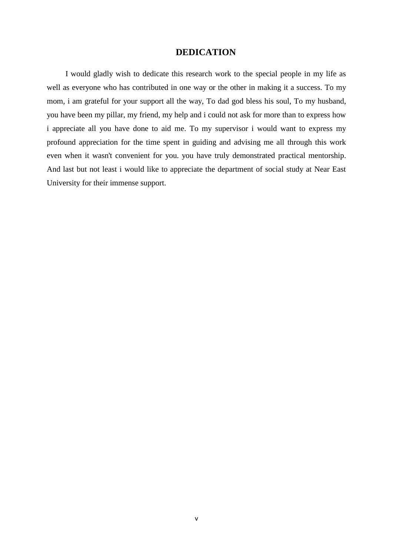## **DEDICATION**

<span id="page-4-0"></span>I would gladly wish to dedicate this research work to the special people in my life as well as everyone who has contributed in one way or the other in making it a success. To my mom, i am grateful for your support all the way, To dad god bless his soul, To my husband, you have been my pillar, my friend, my help and i could not ask for more than to express how i appreciate all you have done to aid me. To my supervisor i would want to express my profound appreciation for the time spent in guiding and advising me all through this work even when it wasn't convenient for you. you have truly demonstrated practical mentorship. And last but not least i would like to appreciate the department of social study at Near East University for their immense support.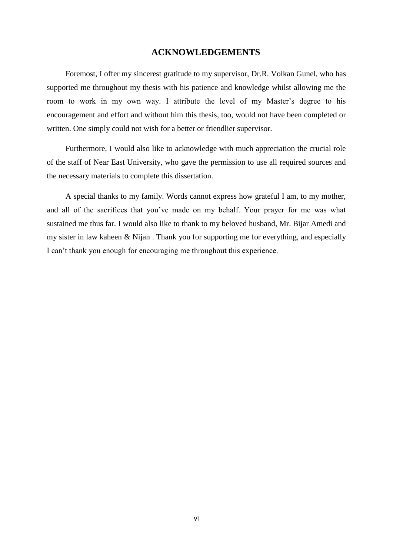### **ACKNOWLEDGEMENTS**

<span id="page-5-0"></span>Foremost, I offer my sincerest gratitude to my supervisor, Dr.R. Volkan Gunel, who has supported me throughout my thesis with his patience and knowledge whilst allowing me the room to work in my own way. I attribute the level of my Master's degree to his encouragement and effort and without him this thesis, too, would not have been completed or written. One simply could not wish for a better or friendlier supervisor.

Furthermore, I would also like to acknowledge with much appreciation the crucial role of the staff of Near East University, who gave the permission to use all required sources and the necessary materials to complete this dissertation.

A special thanks to my family. Words cannot express how grateful I am, to my mother, and all of the sacrifices that you've made on my behalf. Your prayer for me was what sustained me thus far. I would also like to thank to my beloved husband, Mr. Bijar Amedi and my sister in law kaheen & Nijan . Thank you for supporting me for everything, and especially I can't thank you enough for encouraging me throughout this experience.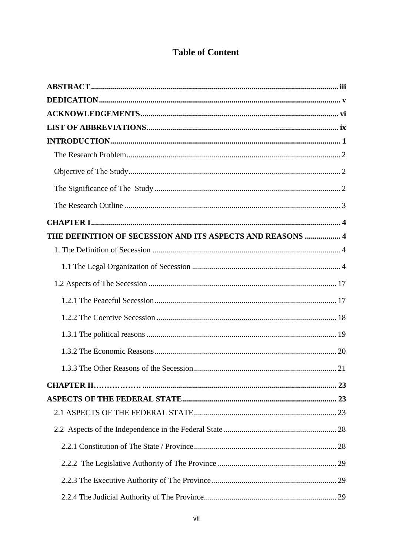# **Table of Content**

| THE DEFINITION OF SECESSION AND ITS ASPECTS AND REASONS  4 |  |
|------------------------------------------------------------|--|
|                                                            |  |
|                                                            |  |
|                                                            |  |
|                                                            |  |
|                                                            |  |
|                                                            |  |
|                                                            |  |
|                                                            |  |
|                                                            |  |
|                                                            |  |
|                                                            |  |
|                                                            |  |
|                                                            |  |
|                                                            |  |
|                                                            |  |
|                                                            |  |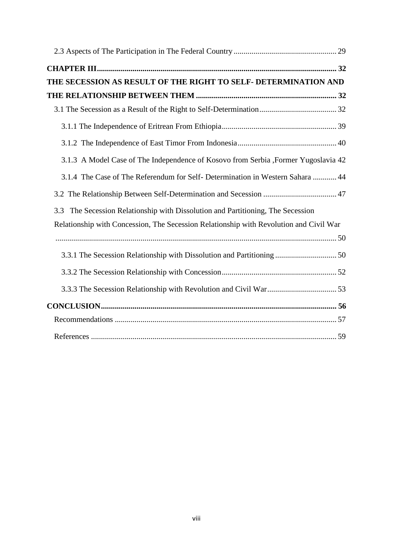| THE SECESSION AS RESULT OF THE RIGHT TO SELF- DETERMINATION AND                        |  |
|----------------------------------------------------------------------------------------|--|
|                                                                                        |  |
|                                                                                        |  |
|                                                                                        |  |
|                                                                                        |  |
| 3.1.3 A Model Case of The Independence of Kosovo from Serbia ,Former Yugoslavia 42     |  |
| 3.1.4 The Case of The Referendum for Self- Determination in Western Sahara  44         |  |
|                                                                                        |  |
| The Secession Relationship with Dissolution and Partitioning, The Secession<br>3.3     |  |
| Relationship with Concession, The Secession Relationship with Revolution and Civil War |  |
|                                                                                        |  |
|                                                                                        |  |
|                                                                                        |  |
|                                                                                        |  |
|                                                                                        |  |
|                                                                                        |  |
|                                                                                        |  |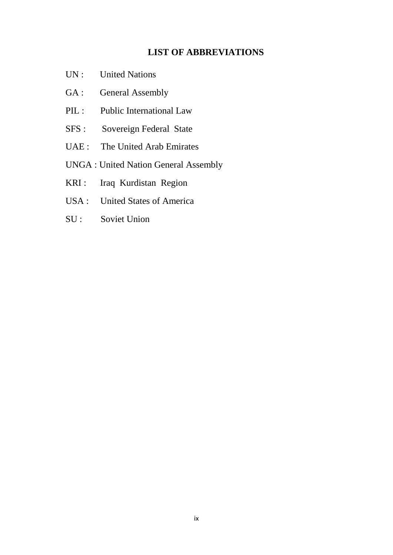# **LIST OF ABBREVIATIONS**

- <span id="page-8-0"></span>UN : United Nations
- GA : General Assembly
- PIL : Public International Law
- SFS : Sovereign Federal State
- UAE : The United Arab Emirates
- UNGA : United Nation General Assembly
- KRI : Iraq Kurdistan Region
- USA : United States of America
- SU : Soviet Union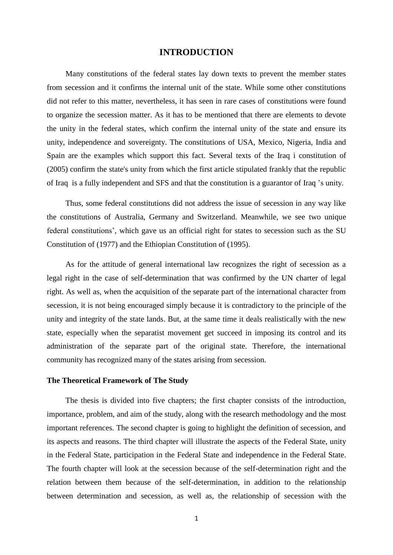## **INTRODUCTION**

<span id="page-9-0"></span>Many constitutions of the federal states lay down texts to prevent the member states from secession and it confirms the internal unit of the state. While some other constitutions did not refer to this matter, nevertheless, it has seen in rare cases of constitutions were found to organize the secession matter. As it has to be mentioned that there are elements to devote the unity in the federal states, which confirm the internal unity of the state and ensure its unity, independence and sovereignty. The constitutions of USA, Mexico, Nigeria, India and Spain are the examples which support this fact. Several texts of the Iraq i constitution of (2005) confirm the state's unity from which the first article stipulated frankly that the republic of Iraq is a fully independent and SFS and that the constitution is a guarantor of Iraq 's unity.

Thus, some federal constitutions did not address the issue of secession in any way like the constitutions of Australia, Germany and Switzerland. Meanwhile, we see two unique federal constitutions', which gave us an official right for states to secession such as the SU Constitution of (1977) and the Ethiopian Constitution of (1995).

As for the attitude of general international law recognizes the right of secession as a legal right in the case of self-determination that was confirmed by the UN charter of legal right. As well as, when the acquisition of the separate part of the international character from secession, it is not being encouraged simply because it is contradictory to the principle of the unity and integrity of the state lands. But, at the same time it deals realistically with the new state, especially when the separatist movement get succeed in imposing its control and its administration of the separate part of the original state. Therefore, the international community has recognized many of the states arising from secession.

#### **The Theoretical Framework of The Study**

The thesis is divided into five chapters; the first chapter consists of the introduction, importance, problem, and aim of the study, along with the research methodology and the most important references. The second chapter is going to highlight the definition of secession, and its aspects and reasons. The third chapter will illustrate the aspects of the Federal State, unity in the Federal State, participation in the Federal State and independence in the Federal State. The fourth chapter will look at the secession because of the self-determination right and the relation between them because of the self-determination, in addition to the relationship between determination and secession, as well as, the relationship of secession with the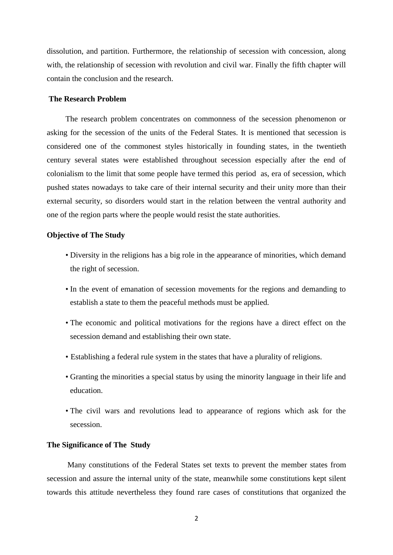dissolution, and partition. Furthermore, the relationship of secession with concession, along with, the relationship of secession with revolution and civil war. Finally the fifth chapter will contain the conclusion and the research.

## <span id="page-10-0"></span>**The Research Problem**

The research problem concentrates on commonness of the secession phenomenon or asking for the secession of the units of the Federal States. It is mentioned that secession is considered one of the commonest styles historically in founding states, in the twentieth century several states were established throughout secession especially after the end of colonialism to the limit that some people have termed this period as, era of secession, which pushed states nowadays to take care of their internal security and their unity more than their external security, so disorders would start in the relation between the ventral authority and one of the region parts where the people would resist the state authorities.

#### **Objective of The Study**

- <span id="page-10-1"></span>• Diversity in the religions has a big role in the appearance of minorities, which demand the right of secession.
- In the event of emanation of secession movements for the regions and demanding to establish a state to them the peaceful methods must be applied.
- The economic and political motivations for the regions have a direct effect on the secession demand and establishing their own state.
- Establishing a federal rule system in the states that have a plurality of religions.
- Granting the minorities a special status by using the minority language in their life and education.
- The civil wars and revolutions lead to appearance of regions which ask for the secession.

#### <span id="page-10-2"></span>**The Significance of The Study**

Many constitutions of the Federal States set texts to prevent the member states from secession and assure the internal unity of the state, meanwhile some constitutions kept silent towards this attitude nevertheless they found rare cases of constitutions that organized the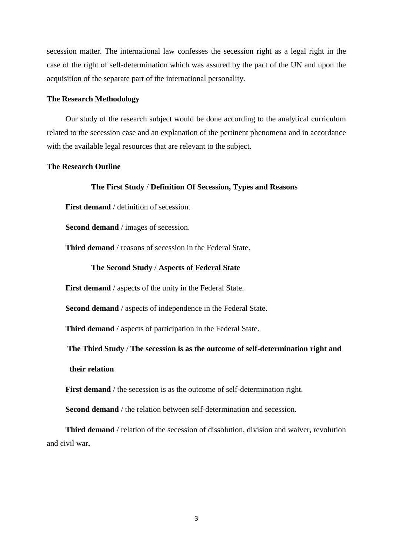secession matter. The international law confesses the secession right as a legal right in the case of the right of self-determination which was assured by the pact of the UN and upon the acquisition of the separate part of the international personality.

#### **The Research Methodology**

Our study of the research subject would be done according to the analytical curriculum related to the secession case and an explanation of the pertinent phenomena and in accordance with the available legal resources that are relevant to the subject.

## <span id="page-11-0"></span>**The Research Outline**

#### **The First Study** / **Definition Of Secession, Types and Reasons**

**First demand** / definition of secession.

**Second demand** / images of secession.

**Third demand** / reasons of secession in the Federal State.

#### **The Second Study** / **Aspects of Federal State**

First demand / aspects of the unity in the Federal State.

**Second demand** / aspects of independence in the Federal State.

**Third demand** / aspects of participation in the Federal State.

**The Third Study** / **The secession is as the outcome of self-determination right and** 

 **their relation** 

**First demand** / the secession is as the outcome of self-determination right.

**Second demand** / the relation between self-determination and secession.

**Third demand** / relation of the secession of dissolution, division and waiver, revolution and civil war**.**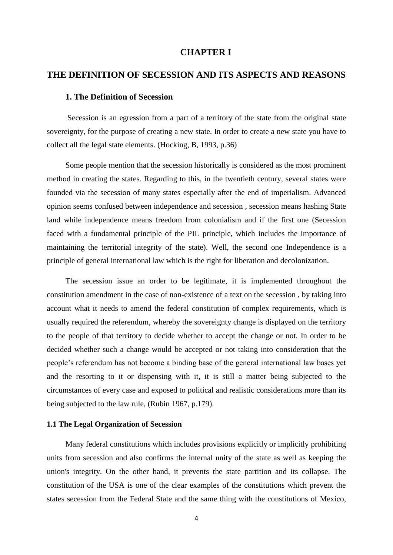## **CHAPTER I**

## <span id="page-12-1"></span><span id="page-12-0"></span>**THE DEFINITION OF SECESSION AND ITS ASPECTS AND REASONS**

#### <span id="page-12-2"></span>**1. The Definition of Secession**

Secession is an egression from a part of a territory of the state from the original state sovereignty, for the purpose of creating a new state. In order to create a new state you have to collect all the legal state elements. (Hocking, B, 1993, p.36)

Some people mention that the secession historically is considered as the most prominent method in creating the states. Regarding to this, in the twentieth century, several states were founded via the secession of many states especially after the end of imperialism. Advanced opinion seems confused between independence and secession , secession means hashing State land while independence means freedom from colonialism and if the first one (Secession faced with a fundamental principle of the PIL principle, which includes the importance of maintaining the territorial integrity of the state). Well, the second one Independence is a principle of general international law which is the right for liberation and decolonization.

The secession issue an order to be legitimate, it is implemented throughout the constitution amendment in the case of non-existence of a text on the secession , by taking into account what it needs to amend the federal constitution of complex requirements, which is usually required the referendum, whereby the sovereignty change is displayed on the territory to the people of that territory to decide whether to accept the change or not. In order to be decided whether such a change would be accepted or not taking into consideration that the people's referendum has not become a binding base of the general international law bases yet and the resorting to it or dispensing with it, it is still a matter being subjected to the circumstances of every case and exposed to political and realistic considerations more than its being subjected to the law rule, (Rubin 1967, p.179).

### <span id="page-12-3"></span>**1.1 The Legal Organization of Secession**

Many federal constitutions which includes provisions explicitly or implicitly prohibiting units from secession and also confirms the internal unity of the state as well as keeping the union's integrity. On the other hand, it prevents the state partition and its collapse. The constitution of the USA is one of the clear examples of the constitutions which prevent the states secession from the Federal State and the same thing with the constitutions of Mexico,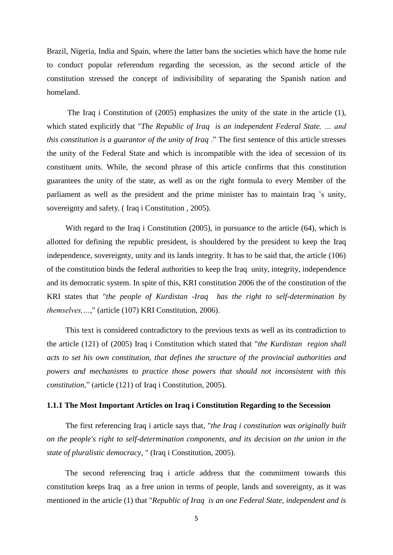Brazil, Nigeria, India and Spain, where the latter bans the societies which have the home rule to conduct popular referendum regarding the secession, as the second article of the constitution stressed the concept of indivisibility of separating the Spanish nation and homeland.

The Iraq i Constitution of (2005) emphasizes the unity of the state in the article (1), which stated explicitly that "*The Republic of Iraq is an independent Federal State, … and this constitution is a guarantor of the unity of Iraq* ." The first sentence of this article stresses the unity of the Federal State and which is incompatible with the idea of secession of its constituent units. While, the second phrase of this article confirms that this constitution guarantees the unity of the state, as well as on the right formula to every Member of the parliament as well as the president and the prime minister has to maintain Iraq 's unity, sovereignty and safety, ( Iraq i Constitution , 2005).

With regard to the Iraq i Constitution (2005), in pursuance to the article (64), which is allotted for defining the republic president, is shouldered by the president to keep the Iraq independence, sovereignty, unity and its lands integrity. It has to be said that, the article (106) of the constitution binds the federal authorities to keep the Iraq unity, integrity, independence and its democratic system. In spite of this, KRI constitution 2006 the of the constitution of the KRI states that "*the people of Kurdistan -Iraq has the right to self-determination by themselves,…*," (article (107) KRI Constitution, 2006).

This text is considered contradictory to the previous texts as well as its contradiction to the article (121) of (2005) Iraq i Constitution which stated that "*the Kurdistan region shall acts to set his own constitution, that defines the structure of the provincial authorities and powers and mechanisms to practice those powers that should not inconsistent with this constitution*," (article (121) of Iraq i Constitution, 2005).

#### **1.1.1 The Most Important Articles on Iraq i Constitution Regarding to the Secession**

The first referencing Iraq i article says that, "*the Iraq i constitution was originally built on the people's right to self-determination components, and its decision on the union in the state of pluralistic democracy,* " (Iraq i Constitution, 2005).

The second referencing Iraq i article address that the commitment towards this constitution keeps Iraq as a free union in terms of people, lands and sovereignty, as it was mentioned in the article (1) that "*Republic of Iraq is an one Federal State, independent and is*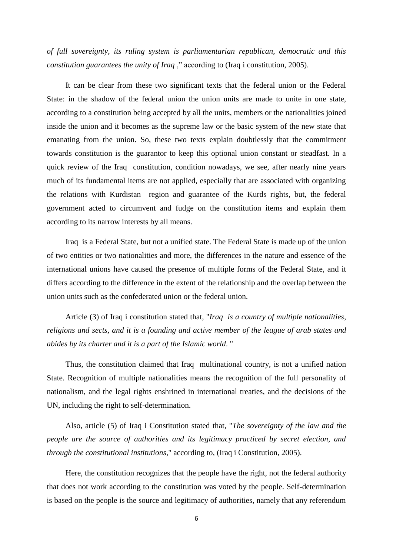*of full sovereignty, its ruling system is parliamentarian republican, democratic and this constitution guarantees the unity of Iraq*," according to (Iraq *i* constitution, 2005).

It can be clear from these two significant texts that the federal union or the Federal State: in the shadow of the federal union the union units are made to unite in one state, according to a constitution being accepted by all the units, members or the nationalities joined inside the union and it becomes as the supreme law or the basic system of the new state that emanating from the union. So, these two texts explain doubtlessly that the commitment towards constitution is the guarantor to keep this optional union constant or steadfast. In a quick review of the Iraq constitution, condition nowadays, we see, after nearly nine years much of its fundamental items are not applied, especially that are associated with organizing the relations with Kurdistan region and guarantee of the Kurds rights, but, the federal government acted to circumvent and fudge on the constitution items and explain them according to its narrow interests by all means.

Iraq is a Federal State, but not a unified state. The Federal State is made up of the union of two entities or two nationalities and more, the differences in the nature and essence of the international unions have caused the presence of multiple forms of the Federal State, and it differs according to the difference in the extent of the relationship and the overlap between the union units such as the confederated union or the federal union.

Article (3) of Iraq i constitution stated that, "*Iraq is a country of multiple nationalities, religions and sects, and it is a founding and active member of the league of arab states and abides by its charter and it is a part of the Islamic world*. "

Thus, the constitution claimed that Iraq multinational country, is not a unified nation State. Recognition of multiple nationalities means the recognition of the full personality of nationalism, and the legal rights enshrined in international treaties, and the decisions of the UN, including the right to self-determination.

Also, article (5) of Iraq i Constitution stated that, "*The sovereignty of the law and the people are the source of authorities and its legitimacy practiced by secret election, and through the constitutional institutions*," according to, (Iraq i Constitution, 2005).

Here, the constitution recognizes that the people have the right, not the federal authority that does not work according to the constitution was voted by the people. Self-determination is based on the people is the source and legitimacy of authorities, namely that any referendum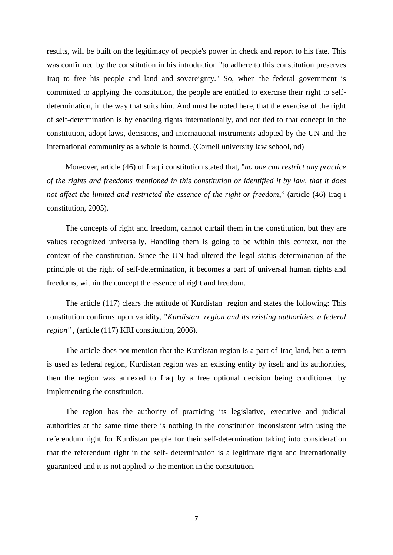results, will be built on the legitimacy of people's power in check and report to his fate. This was confirmed by the constitution in his introduction "to adhere to this constitution preserves Iraq to free his people and land and sovereignty." So, when the federal government is committed to applying the constitution, the people are entitled to exercise their right to selfdetermination, in the way that suits him. And must be noted here, that the exercise of the right of self-determination is by enacting rights internationally, and not tied to that concept in the constitution, adopt laws, decisions, and international instruments adopted by the UN and the international community as a whole is bound. (Cornell university law school, nd)

Moreover, article (46) of Iraq i constitution stated that, "*no one can restrict any practice of the rights and freedoms mentioned in this constitution or identified it by law, that it does not affect the limited and restricted the essence of the right or freedom*," (article (46) Iraq i constitution, 2005).

The concepts of right and freedom, cannot curtail them in the constitution, but they are values recognized universally. Handling them is going to be within this context, not the context of the constitution. Since the UN had ultered the legal status determination of the principle of the right of self-determination, it becomes a part of universal human rights and freedoms, within the concept the essence of right and freedom.

The article (117) clears the attitude of Kurdistan region and states the following: This constitution confirms upon validity, "*Kurdistan region and its existing authorities, a federal region"* , (article (117) KRI constitution, 2006).

The article does not mention that the Kurdistan region is a part of Iraq land, but a term is used as federal region, Kurdistan region was an existing entity by itself and its authorities, then the region was annexed to Iraq by a free optional decision being conditioned by implementing the constitution.

The region has the authority of practicing its legislative, executive and judicial authorities at the same time there is nothing in the constitution inconsistent with using the referendum right for Kurdistan people for their self-determination taking into consideration that the referendum right in the self- determination is a legitimate right and internationally guaranteed and it is not applied to the mention in the constitution.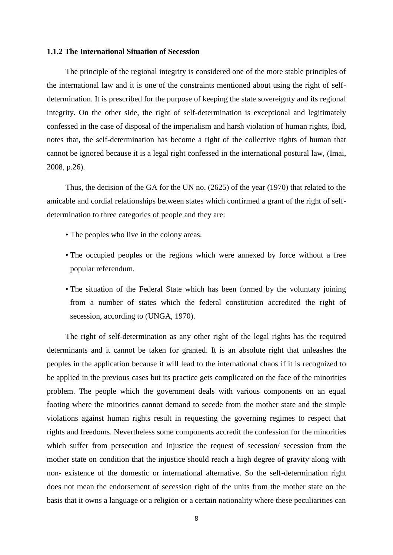## **1.1.2 The International Situation of Secession**

The principle of the regional integrity is considered one of the more stable principles of the international law and it is one of the constraints mentioned about using the right of selfdetermination. It is prescribed for the purpose of keeping the state sovereignty and its regional integrity. On the other side, the right of self-determination is exceptional and legitimately confessed in the case of disposal of the imperialism and harsh violation of human rights, Ibid, notes that, the self-determination has become a right of the collective rights of human that cannot be ignored because it is a legal right confessed in the international postural law, (Imai, 2008, p.26).

Thus, the decision of the GA for the UN no. (2625) of the year (1970) that related to the amicable and cordial relationships between states which confirmed a grant of the right of selfdetermination to three categories of people and they are:

- The peoples who live in the colony areas.
- The occupied peoples or the regions which were annexed by force without a free popular referendum.
- The situation of the Federal State which has been formed by the voluntary joining from a number of states which the federal constitution accredited the right of secession, according to (UNGA, 1970).

The right of self-determination as any other right of the legal rights has the required determinants and it cannot be taken for granted. It is an absolute right that unleashes the peoples in the application because it will lead to the international chaos if it is recognized to be applied in the previous cases but its practice gets complicated on the face of the minorities problem. The people which the government deals with various components on an equal footing where the minorities cannot demand to secede from the mother state and the simple violations against human rights result in requesting the governing regimes to respect that rights and freedoms. Nevertheless some components accredit the confession for the minorities which suffer from persecution and injustice the request of secession/ secession from the mother state on condition that the injustice should reach a high degree of gravity along with non- existence of the domestic or international alternative. So the self-determination right does not mean the endorsement of secession right of the units from the mother state on the basis that it owns a language or a religion or a certain nationality where these peculiarities can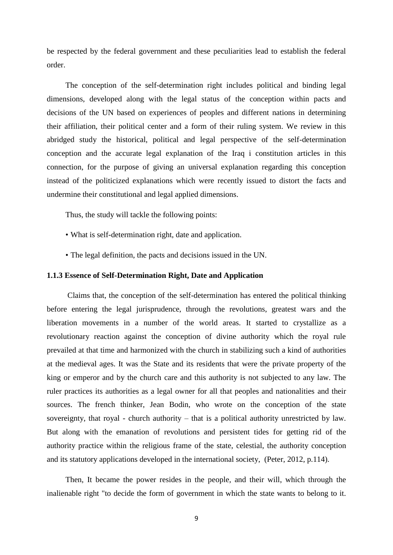be respected by the federal government and these peculiarities lead to establish the federal order.

The conception of the self-determination right includes political and binding legal dimensions, developed along with the legal status of the conception within pacts and decisions of the UN based on experiences of peoples and different nations in determining their affiliation, their political center and a form of their ruling system. We review in this abridged study the historical, political and legal perspective of the self-determination conception and the accurate legal explanation of the Iraq i constitution articles in this connection, for the purpose of giving an universal explanation regarding this conception instead of the politicized explanations which were recently issued to distort the facts and undermine their constitutional and legal applied dimensions.

Thus, the study will tackle the following points:

- What is self-determination right, date and application.
- The legal definition, the pacts and decisions issued in the UN.

#### **1.1.3 Essence of Self-Determination Right, Date and Application**

Claims that, the conception of the self-determination has entered the political thinking before entering the legal jurisprudence, through the revolutions, greatest wars and the liberation movements in a number of the world areas. It started to crystallize as a revolutionary reaction against the conception of divine authority which the royal rule prevailed at that time and harmonized with the church in stabilizing such a kind of authorities at the medieval ages. It was the State and its residents that were the private property of the king or emperor and by the church care and this authority is not subjected to any law. The ruler practices its authorities as a legal owner for all that peoples and nationalities and their sources. The french thinker, Jean Bodin, who wrote on the conception of the state sovereignty, that royal - church authority – that is a political authority unrestricted by law. But along with the emanation of revolutions and persistent tides for getting rid of the authority practice within the religious frame of the state, celestial, the authority conception and its statutory applications developed in the international society, (Peter, 2012, p.114).

Then, It became the power resides in the people, and their will, which through the inalienable right "to decide the form of government in which the state wants to belong to it.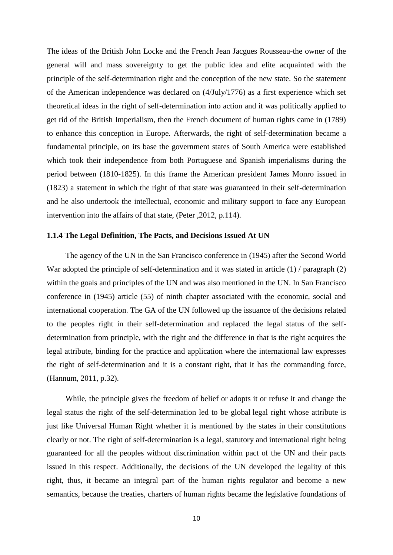The ideas of the British John Locke and the French Jean Jacgues Rousseau-the owner of the general will and mass sovereignty to get the public idea and elite acquainted with the principle of the self-determination right and the conception of the new state. So the statement of the American independence was declared on (4/July/1776) as a first experience which set theoretical ideas in the right of self-determination into action and it was politically applied to get rid of the British Imperialism, then the French document of human rights came in (1789) to enhance this conception in Europe. Afterwards, the right of self-determination became a fundamental principle, on its base the government states of South America were established which took their independence from both Portuguese and Spanish imperialisms during the period between (1810-1825). In this frame the American president James Monro issued in (1823) a statement in which the right of that state was guaranteed in their self-determination and he also undertook the intellectual, economic and military support to face any European intervention into the affairs of that state, (Peter ,2012, p.114).

#### **1.1.4 The Legal Definition, The Pacts, and Decisions Issued At UN**

The agency of the UN in the San Francisco conference in (1945) after the Second World War adopted the principle of self-determination and it was stated in article (1) / paragraph (2) within the goals and principles of the UN and was also mentioned in the UN. In San Francisco conference in (1945) article (55) of ninth chapter associated with the economic, social and international cooperation. The GA of the UN followed up the issuance of the decisions related to the peoples right in their self-determination and replaced the legal status of the selfdetermination from principle, with the right and the difference in that is the right acquires the legal attribute, binding for the practice and application where the international law expresses the right of self-determination and it is a constant right, that it has the commanding force, (Hannum, 2011, p.32).

While, the principle gives the freedom of belief or adopts it or refuse it and change the legal status the right of the self-determination led to be global legal right whose attribute is just like Universal Human Right whether it is mentioned by the states in their constitutions clearly or not. The right of self-determination is a legal, statutory and international right being guaranteed for all the peoples without discrimination within pact of the UN and their pacts issued in this respect. Additionally, the decisions of the UN developed the legality of this right, thus, it became an integral part of the human rights regulator and become a new semantics, because the treaties, charters of human rights became the legislative foundations of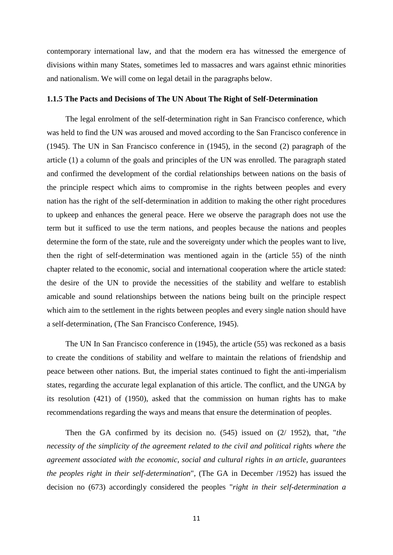contemporary international law, and that the modern era has witnessed the emergence of divisions within many States, sometimes led to massacres and wars against ethnic minorities and nationalism. We will come on legal detail in the paragraphs below.

#### **1.1.5 The Pacts and Decisions of The UN About The Right of Self-Determination**

The legal enrolment of the self-determination right in San Francisco conference, which was held to find the UN was aroused and moved according to the San Francisco conference in (1945). The UN in San Francisco conference in (1945), in the second (2) paragraph of the article (1) a column of the goals and principles of the UN was enrolled. The paragraph stated and confirmed the development of the cordial relationships between nations on the basis of the principle respect which aims to compromise in the rights between peoples and every nation has the right of the self-determination in addition to making the other right procedures to upkeep and enhances the general peace. Here we observe the paragraph does not use the term but it sufficed to use the term nations, and peoples because the nations and peoples determine the form of the state, rule and the sovereignty under which the peoples want to live, then the right of self-determination was mentioned again in the (article 55) of the ninth chapter related to the economic, social and international cooperation where the article stated: the desire of the UN to provide the necessities of the stability and welfare to establish amicable and sound relationships between the nations being built on the principle respect which aim to the settlement in the rights between peoples and every single nation should have a self-determination, (The San Francisco Conference, 1945).

The UN In San Francisco conference in (1945), the article (55) was reckoned as a basis to create the conditions of stability and welfare to maintain the relations of friendship and peace between other nations. But, the imperial states continued to fight the anti-imperialism states, regarding the accurate legal explanation of this article. The conflict, and the UNGA by its resolution (421) of (1950), asked that the commission on human rights has to make recommendations regarding the ways and means that ensure the determination of peoples.

Then the GA confirmed by its decision no. (545) issued on (2/ 1952), that, "*the necessity of the simplicity of the agreement related to the civil and political rights where the agreement associated with the economic, social and cultural rights in an article, guarantees the peoples right in their self-determination*", (The GA in December /1952) has issued the decision no (673) accordingly considered the peoples "*right in their self-determination a*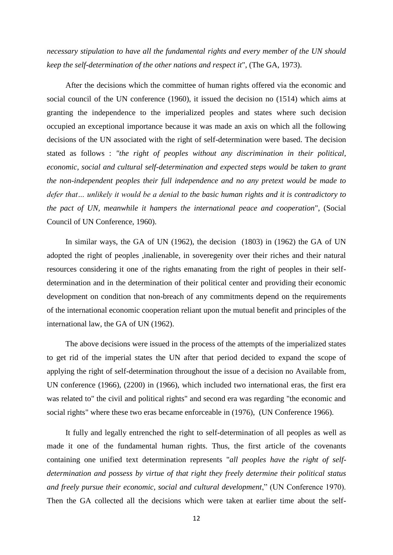*necessary stipulation to have all the fundamental rights and every member of the UN should keep the self-determination of the other nations and respect it*", (The GA, 1973).

After the decisions which the committee of human rights offered via the economic and social council of the UN conference (1960), it issued the decision no (1514) which aims at granting the independence to the imperialized peoples and states where such decision occupied an exceptional importance because it was made an axis on which all the following decisions of the UN associated with the right of self-determination were based. The decision stated as follows : *"the right of peoples without any discrimination in their political, economic, social and cultural self-determination and expected steps would be taken to grant the non-independent peoples their full independence and no any pretext would be made to defer that… unlikely it would be a denial to the basic human rights and it is contradictory to the pact of UN, meanwhile it hampers the international peace and cooperation*", (Social Council of UN Conference, 1960).

In similar ways, the GA of UN (1962), the decision (1803) in (1962) the GA of UN adopted the right of peoples ,inalienable, in soveregenity over their riches and their natural resources considering it one of the rights emanating from the right of peoples in their selfdetermination and in the determination of their political center and providing their economic development on condition that non-breach of any commitments depend on the requirements of the international economic cooperation reliant upon the mutual benefit and principles of the international law, the GA of UN (1962).

The above decisions were issued in the process of the attempts of the imperialized states to get rid of the imperial states the UN after that period decided to expand the scope of applying the right of self-determination throughout the issue of a decision no Available from, UN conference (1966), (2200) in (1966), which included two international eras, the first era was related to" the civil and political rights" and second era was regarding "the economic and social rights" where these two eras became enforceable in (1976), (UN Conference 1966).

It fully and legally entrenched the right to self-determination of all peoples as well as made it one of the fundamental human rights. Thus, the first article of the covenants containing one unified text determination represents "*all peoples have the right of selfdetermination and possess by virtue of that right they freely determine their political status and freely pursue their economic, social and cultural development*," (UN Conference 1970). Then the GA collected all the decisions which were taken at earlier time about the self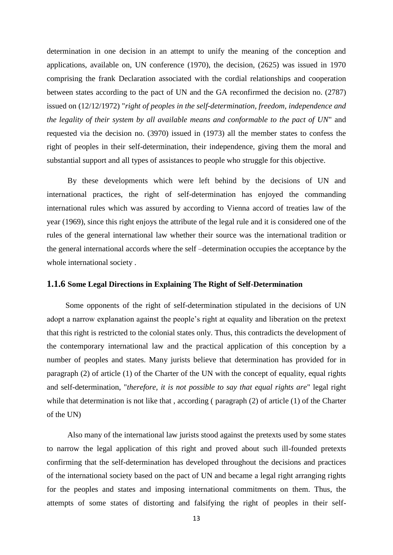determination in one decision in an attempt to unify the meaning of the conception and applications, available on, UN conference (1970), the decision, (2625) was issued in 1970 comprising the frank Declaration associated with the cordial relationships and cooperation between states according to the pact of UN and the GA reconfirmed the decision no. (2787) issued on (12/12/1972) "*right of peoples in the self-determination, freedom, independence and the legality of their system by all available means and conformable to the pact of UN*" and requested via the decision no. (3970) issued in (1973) all the member states to confess the right of peoples in their self-determination, their independence, giving them the moral and substantial support and all types of assistances to people who struggle for this objective.

By these developments which were left behind by the decisions of UN and international practices, the right of self-determination has enjoyed the commanding international rules which was assured by according to Vienna accord of treaties law of the year (1969), since this right enjoys the attribute of the legal rule and it is considered one of the rules of the general international law whether their source was the international tradition or the general international accords where the self –determination occupies the acceptance by the whole international society .

#### **1.1.6 Some Legal Directions in Explaining The Right of Self-Determination**

Some opponents of the right of self-determination stipulated in the decisions of UN adopt a narrow explanation against the people's right at equality and liberation on the pretext that this right is restricted to the colonial states only. Thus, this contradicts the development of the contemporary international law and the practical application of this conception by a number of peoples and states. Many jurists believe that determination has provided for in paragraph (2) of article (1) of the Charter of the UN with the concept of equality, equal rights and self-determination, "*therefore, it is not possible to say that equal rights are*" legal right while that determination is not like that , according ( paragraph (2) of article (1) of the Charter of the UN)

Also many of the international law jurists stood against the pretexts used by some states to narrow the legal application of this right and proved about such ill-founded pretexts confirming that the self-determination has developed throughout the decisions and practices of the international society based on the pact of UN and became a legal right arranging rights for the peoples and states and imposing international commitments on them. Thus, the attempts of some states of distorting and falsifying the right of peoples in their self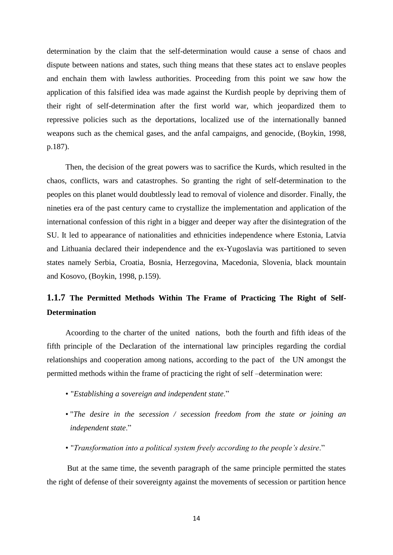determination by the claim that the self-determination would cause a sense of chaos and dispute between nations and states, such thing means that these states act to enslave peoples and enchain them with lawless authorities. Proceeding from this point we saw how the application of this falsified idea was made against the Kurdish people by depriving them of their right of self-determination after the first world war, which jeopardized them to repressive policies such as the deportations, localized use of the internationally banned weapons such as the chemical gases, and the anfal campaigns, and genocide, (Boykin, 1998, p.187).

Then, the decision of the great powers was to sacrifice the Kurds, which resulted in the chaos, conflicts, wars and catastrophes. So granting the right of self-determination to the peoples on this planet would doubtlessly lead to removal of violence and disorder. Finally, the nineties era of the past century came to crystallize the implementation and application of the international confession of this right in a bigger and deeper way after the disintegration of the SU. It led to appearance of nationalities and ethnicities independence where Estonia, Latvia and Lithuania declared their independence and the ex-Yugoslavia was partitioned to seven states namely Serbia, Croatia, Bosnia, Herzegovina, Macedonia, Slovenia, black mountain and Kosovo, (Boykin, 1998, p.159).

# **1.1.7 The Permitted Methods Within The Frame of Practicing The Right of Self-Determination**

Acoording to the charter of the united nations, both the fourth and fifth ideas of the fifth principle of the Declaration of the international law principles regarding the cordial relationships and cooperation among nations, according to the pact of the UN amongst the permitted methods within the frame of practicing the right of self –determination were:

- "*Establishing a sovereign and independent state*."
- "*The desire in the secession / secession freedom from the state or joining an independent state*."
- "*Transformation into a political system freely according to the people's desire*."

But at the same time, the seventh paragraph of the same principle permitted the states the right of defense of their sovereignty against the movements of secession or partition hence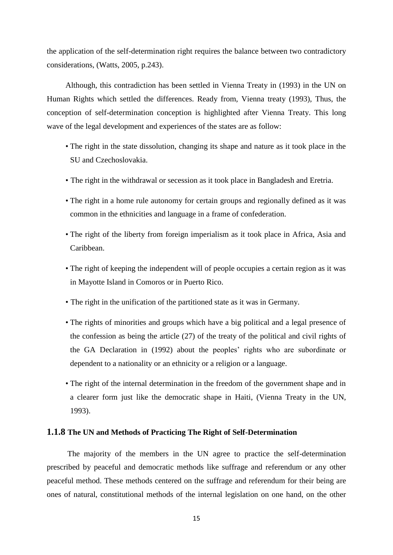the application of the self-determination right requires the balance between two contradictory considerations, (Watts, 2005, p.243).

Although, this contradiction has been settled in Vienna Treaty in (1993) in the UN on Human Rights which settled the differences. Ready from, Vienna treaty (1993), Thus, the conception of self-determination conception is highlighted after Vienna Treaty. This long wave of the legal development and experiences of the states are as follow:

- The right in the state dissolution, changing its shape and nature as it took place in the SU and Czechoslovakia.
- The right in the withdrawal or secession as it took place in Bangladesh and Eretria.
- The right in a home rule autonomy for certain groups and regionally defined as it was common in the ethnicities and language in a frame of confederation.
- The right of the liberty from foreign imperialism as it took place in Africa, Asia and Caribbean.
- The right of keeping the independent will of people occupies a certain region as it was in Mayotte Island in Comoros or in Puerto Rico.
- The right in the unification of the partitioned state as it was in Germany.
- The rights of minorities and groups which have a big political and a legal presence of the confession as being the article (27) of the treaty of the political and civil rights of the GA Declaration in (1992) about the peoples' rights who are subordinate or dependent to a nationality or an ethnicity or a religion or a language.
- The right of the internal determination in the freedom of the government shape and in a clearer form just like the democratic shape in Haiti, (Vienna Treaty in the UN, 1993).

#### **1.1.8 The UN and Methods of Practicing The Right of Self-Determination**

The majority of the members in the UN agree to practice the self-determination prescribed by peaceful and democratic methods like suffrage and referendum or any other peaceful method. These methods centered on the suffrage and referendum for their being are ones of natural, constitutional methods of the internal legislation on one hand, on the other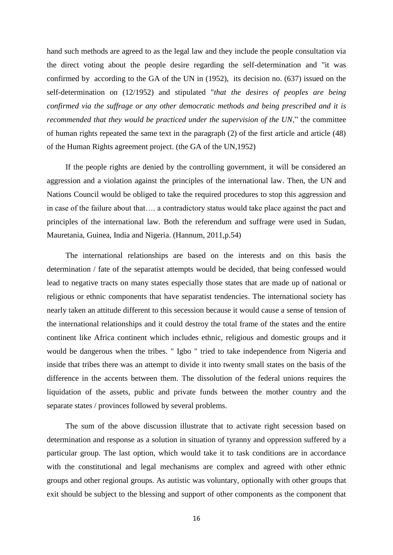hand such methods are agreed to as the legal law and they include the people consultation via the direct voting about the people desire regarding the self-determination and "it was confirmed by according to the GA of the UN in (1952), its decision no. (637) issued on the self-determination on (12/1952) and stipulated "*that the desires of peoples are being confirmed via the suffrage or any other democratic methods and being prescribed and it is recommended that they would be practiced under the supervision of the UN*," the committee of human rights repeated the same text in the paragraph (2) of the first article and article (48) of the Human Rights agreement project. (the GA of the UN,1952)

If the people rights are denied by the controlling government, it will be considered an aggression and a violation against the principles of the international law. Then, the UN and Nations Council would be obliged to take the required procedures to stop this aggression and in case of the failure about that…. a contradictory status would take place against the pact and principles of the international law. Both the referendum and suffrage were used in Sudan, Mauretania, Guinea, India and Nigeria. (Hannum, 2011,p.54)

The international relationships are based on the interests and on this basis the determination / fate of the separatist attempts would be decided, that being confessed would lead to negative tracts on many states especially those states that are made up of national or religious or ethnic components that have separatist tendencies. The international society has nearly taken an attitude different to this secession because it would cause a sense of tension of the international relationships and it could destroy the total frame of the states and the entire continent like Africa continent which includes ethnic, religious and domestic groups and it would be dangerous when the tribes. " Igbo " tried to take independence from Nigeria and inside that tribes there was an attempt to divide it into twenty small states on the basis of the difference in the accents between them. The dissolution of the federal unions requires the liquidation of the assets, public and private funds between the mother country and the separate states / provinces followed by several problems.

The sum of the above discussion illustrate that to activate right secession based on determination and response as a solution in situation of tyranny and oppression suffered by a particular group. The last option, which would take it to task conditions are in accordance with the constitutional and legal mechanisms are complex and agreed with other ethnic groups and other regional groups. As autistic was voluntary, optionally with other groups that exit should be subject to the blessing and support of other components as the component that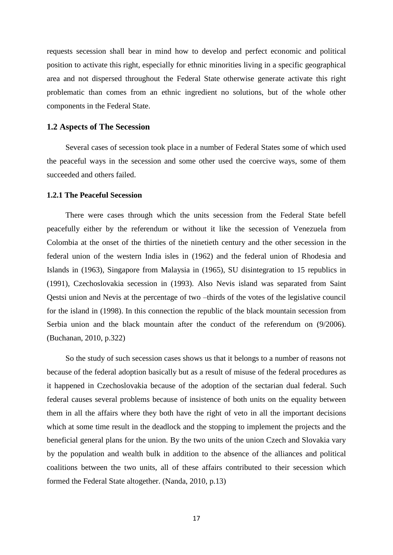requests secession shall bear in mind how to develop and perfect economic and political position to activate this right, especially for ethnic minorities living in a specific geographical area and not dispersed throughout the Federal State otherwise generate activate this right problematic than comes from an ethnic ingredient no solutions, but of the whole other components in the Federal State.

### <span id="page-25-0"></span>**1.2 Aspects of The Secession**

Several cases of secession took place in a number of Federal States some of which used the peaceful ways in the secession and some other used the coercive ways, some of them succeeded and others failed.

## <span id="page-25-1"></span>**1.2.1 The Peaceful Secession**

There were cases through which the units secession from the Federal State befell peacefully either by the referendum or without it like the secession of Venezuela from Colombia at the onset of the thirties of the ninetieth century and the other secession in the federal union of the western India isles in (1962) and the federal union of Rhodesia and Islands in (1963), Singapore from Malaysia in (1965), SU disintegration to 15 republics in (1991), Czechoslovakia secession in (1993). Also Nevis island was separated from Saint Qestsi union and Nevis at the percentage of two –thirds of the votes of the legislative council for the island in (1998). In this connection the republic of the black mountain secession from Serbia union and the black mountain after the conduct of the referendum on (9/2006). (Buchanan, 2010, p.322)

So the study of such secession cases shows us that it belongs to a number of reasons not because of the federal adoption basically but as a result of misuse of the federal procedures as it happened in Czechoslovakia because of the adoption of the sectarian dual federal. Such federal causes several problems because of insistence of both units on the equality between them in all the affairs where they both have the right of veto in all the important decisions which at some time result in the deadlock and the stopping to implement the projects and the beneficial general plans for the union. By the two units of the union Czech and Slovakia vary by the population and wealth bulk in addition to the absence of the alliances and political coalitions between the two units, all of these affairs contributed to their secession which formed the Federal State altogether. (Nanda, 2010, p.13)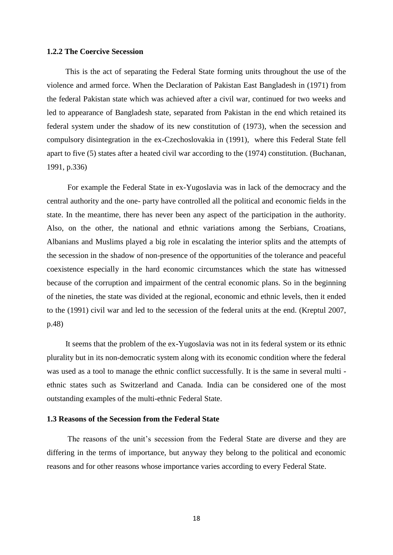#### <span id="page-26-0"></span>**1.2.2 The Coercive Secession**

This is the act of separating the Federal State forming units throughout the use of the violence and armed force. When the Declaration of Pakistan East Bangladesh in (1971) from the federal Pakistan state which was achieved after a civil war, continued for two weeks and led to appearance of Bangladesh state, separated from Pakistan in the end which retained its federal system under the shadow of its new constitution of (1973), when the secession and compulsory disintegration in the ex-Czechoslovakia in (1991), where this Federal State fell apart to five (5) states after a heated civil war according to the (1974) constitution. (Buchanan, 1991, p.336)

For example the Federal State in ex-Yugoslavia was in lack of the democracy and the central authority and the one- party have controlled all the political and economic fields in the state. In the meantime, there has never been any aspect of the participation in the authority. Also, on the other, the national and ethnic variations among the Serbians, Croatians, Albanians and Muslims played a big role in escalating the interior splits and the attempts of the secession in the shadow of non-presence of the opportunities of the tolerance and peaceful coexistence especially in the hard economic circumstances which the state has witnessed because of the corruption and impairment of the central economic plans. So in the beginning of the nineties, the state was divided at the regional, economic and ethnic levels, then it ended to the (1991) civil war and led to the secession of the federal units at the end. (Kreptul 2007, p.48)

It seems that the problem of the ex-Yugoslavia was not in its federal system or its ethnic plurality but in its non-democratic system along with its economic condition where the federal was used as a tool to manage the ethnic conflict successfully. It is the same in several multi ethnic states such as Switzerland and Canada. India can be considered one of the most outstanding examples of the multi-ethnic Federal State.

### **1.3 Reasons of the Secession from the Federal State**

The reasons of the unit's secession from the Federal State are diverse and they are differing in the terms of importance, but anyway they belong to the political and economic reasons and for other reasons whose importance varies according to every Federal State.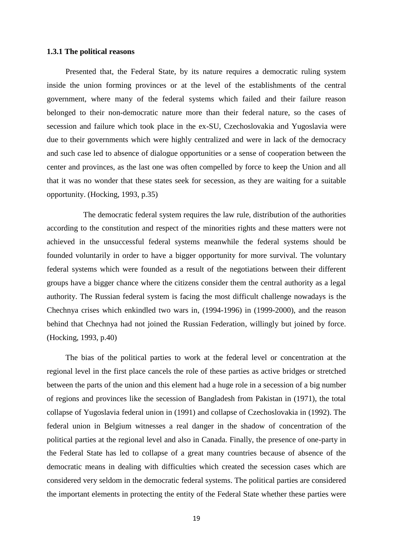#### <span id="page-27-0"></span>**1.3.1 The political reasons**

Presented that, the Federal State, by its nature requires a democratic ruling system inside the union forming provinces or at the level of the establishments of the central government, where many of the federal systems which failed and their failure reason belonged to their non-democratic nature more than their federal nature, so the cases of secession and failure which took place in the ex-SU, Czechoslovakia and Yugoslavia were due to their governments which were highly centralized and were in lack of the democracy and such case led to absence of dialogue opportunities or a sense of cooperation between the center and provinces, as the last one was often compelled by force to keep the Union and all that it was no wonder that these states seek for secession, as they are waiting for a suitable opportunity. (Hocking, 1993, p.35)

 The democratic federal system requires the law rule, distribution of the authorities according to the constitution and respect of the minorities rights and these matters were not achieved in the unsuccessful federal systems meanwhile the federal systems should be founded voluntarily in order to have a bigger opportunity for more survival. The voluntary federal systems which were founded as a result of the negotiations between their different groups have a bigger chance where the citizens consider them the central authority as a legal authority. The Russian federal system is facing the most difficult challenge nowadays is the Chechnya crises which enkindled two wars in, (1994-1996) in (1999-2000), and the reason behind that Chechnya had not joined the Russian Federation, willingly but joined by force. (Hocking, 1993, p.40)

The bias of the political parties to work at the federal level or concentration at the regional level in the first place cancels the role of these parties as active bridges or stretched between the parts of the union and this element had a huge role in a secession of a big number of regions and provinces like the secession of Bangladesh from Pakistan in (1971), the total collapse of Yugoslavia federal union in (1991) and collapse of Czechoslovakia in (1992). The federal union in Belgium witnesses a real danger in the shadow of concentration of the political parties at the regional level and also in Canada. Finally, the presence of one-party in the Federal State has led to collapse of a great many countries because of absence of the democratic means in dealing with difficulties which created the secession cases which are considered very seldom in the democratic federal systems. The political parties are considered the important elements in protecting the entity of the Federal State whether these parties were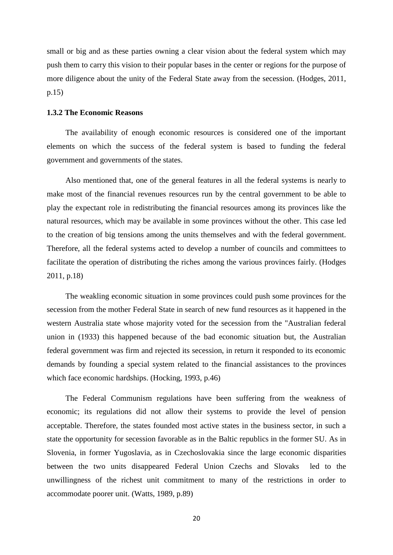small or big and as these parties owning a clear vision about the federal system which may push them to carry this vision to their popular bases in the center or regions for the purpose of more diligence about the unity of the Federal State away from the secession. (Hodges, 2011, p.15)

### <span id="page-28-0"></span>**1.3.2 The Economic Reasons**

The availability of enough economic resources is considered one of the important elements on which the success of the federal system is based to funding the federal government and governments of the states.

Also mentioned that, one of the general features in all the federal systems is nearly to make most of the financial revenues resources run by the central government to be able to play the expectant role in redistributing the financial resources among its provinces like the natural resources, which may be available in some provinces without the other. This case led to the creation of big tensions among the units themselves and with the federal government. Therefore, all the federal systems acted to develop a number of councils and committees to facilitate the operation of distributing the riches among the various provinces fairly. (Hodges 2011, p.18)

The weakling economic situation in some provinces could push some provinces for the secession from the mother Federal State in search of new fund resources as it happened in the western Australia state whose majority voted for the secession from the "Australian federal union in (1933) this happened because of the bad economic situation but, the Australian federal government was firm and rejected its secession, in return it responded to its economic demands by founding a special system related to the financial assistances to the provinces which face economic hardships. (Hocking, 1993, p.46)

The Federal Communism regulations have been suffering from the weakness of economic; its regulations did not allow their systems to provide the level of pension acceptable. Therefore, the states founded most active states in the business sector, in such a state the opportunity for secession favorable as in the Baltic republics in the former SU. As in Slovenia, in former Yugoslavia, as in Czechoslovakia since the large economic disparities between the two units disappeared Federal Union Czechs and Slovaks led to the unwillingness of the richest unit commitment to many of the restrictions in order to accommodate poorer unit. (Watts, 1989, p.89)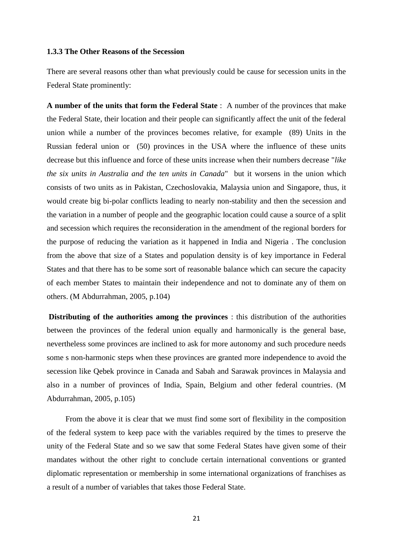## <span id="page-29-0"></span>**1.3.3 The Other Reasons of the Secession**

There are several reasons other than what previously could be cause for secession units in the Federal State prominently:

**A number of the units that form the Federal State** : A number of the provinces that make the Federal State, their location and their people can significantly affect the unit of the federal union while a number of the provinces becomes relative, for example (89) Units in the Russian federal union or (50) provinces in the USA where the influence of these units decrease but this influence and force of these units increase when their numbers decrease "*like the six units in Australia and the ten units in Canada*" but it worsens in the union which consists of two units as in Pakistan, Czechoslovakia, Malaysia union and Singapore, thus, it would create big bi-polar conflicts leading to nearly non-stability and then the secession and the variation in a number of people and the geographic location could cause a source of a split and secession which requires the reconsideration in the amendment of the regional borders for the purpose of reducing the variation as it happened in India and Nigeria . The conclusion from the above that size of a States and population density is of key importance in Federal States and that there has to be some sort of reasonable balance which can secure the capacity of each member States to maintain their independence and not to dominate any of them on others. (M Abdurrahman, 2005, p.104)

**Distributing of the authorities among the provinces** : this distribution of the authorities between the provinces of the federal union equally and harmonically is the general base, nevertheless some provinces are inclined to ask for more autonomy and such procedure needs some s non-harmonic steps when these provinces are granted more independence to avoid the secession like Qebek province in Canada and Sabah and Sarawak provinces in Malaysia and also in a number of provinces of India, Spain, Belgium and other federal countries. (M Abdurrahman, 2005, p.105)

From the above it is clear that we must find some sort of flexibility in the composition of the federal system to keep pace with the variables required by the times to preserve the unity of the Federal State and so we saw that some Federal States have given some of their mandates without the other right to conclude certain international conventions or granted diplomatic representation or membership in some international organizations of franchises as a result of a number of variables that takes those Federal State.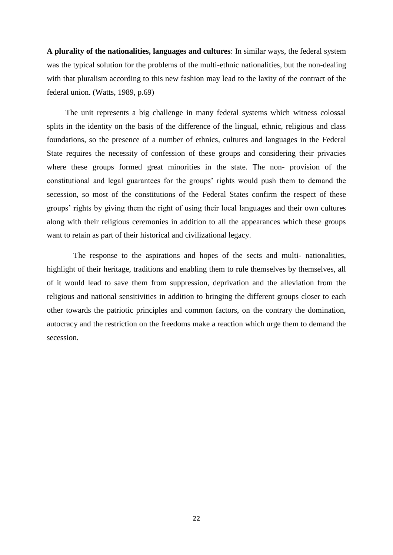**A plurality of the nationalities, languages and cultures**: In similar ways, the federal system was the typical solution for the problems of the multi-ethnic nationalities, but the non-dealing with that pluralism according to this new fashion may lead to the laxity of the contract of the federal union. (Watts, 1989, p.69)

The unit represents a big challenge in many federal systems which witness colossal splits in the identity on the basis of the difference of the lingual, ethnic, religious and class foundations, so the presence of a number of ethnics, cultures and languages in the Federal State requires the necessity of confession of these groups and considering their privacies where these groups formed great minorities in the state. The non- provision of the constitutional and legal guarantees for the groups' rights would push them to demand the secession, so most of the constitutions of the Federal States confirm the respect of these groups' rights by giving them the right of using their local languages and their own cultures along with their religious ceremonies in addition to all the appearances which these groups want to retain as part of their historical and civilizational legacy.

 The response to the aspirations and hopes of the sects and multi- nationalities, highlight of their heritage, traditions and enabling them to rule themselves by themselves, all of it would lead to save them from suppression, deprivation and the alleviation from the religious and national sensitivities in addition to bringing the different groups closer to each other towards the patriotic principles and common factors, on the contrary the domination, autocracy and the restriction on the freedoms make a reaction which urge them to demand the secession.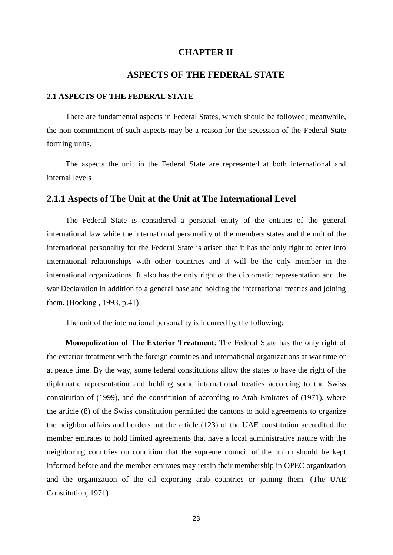## **CHAPTER II**

## **ASPECTS OF THE FEDERAL STATE**

#### <span id="page-31-2"></span><span id="page-31-1"></span><span id="page-31-0"></span>**2.1 ASPECTS OF THE FEDERAL STATE**

There are fundamental aspects in Federal States, which should be followed; meanwhile, the non-commitment of such aspects may be a reason for the secession of the Federal State forming units.

The aspects the unit in the Federal State are represented at both international and internal levels

## **2.1.1 Aspects of The Unit at the Unit at The International Level**

The Federal State is considered a personal entity of the entities of the general international law while the international personality of the members states and the unit of the international personality for the Federal State is arisen that it has the only right to enter into international relationships with other countries and it will be the only member in the international organizations. It also has the only right of the diplomatic representation and the war Declaration in addition to a general base and holding the international treaties and joining them. (Hocking , 1993, p.41)

The unit of the international personality is incurred by the following:

**Monopolization of The Exterior Treatment**: The Federal State has the only right of the exterior treatment with the foreign countries and international organizations at war time or at peace time. By the way, some federal constitutions allow the states to have the right of the diplomatic representation and holding some international treaties according to the Swiss constitution of (1999), and the constitution of according to Arab Emirates of (1971), where the article (8) of the Swiss constitution permitted the cantons to hold agreements to organize the neighbor affairs and borders but the article (123) of the UAE constitution accredited the member emirates to hold limited agreements that have a local administrative nature with the neighboring countries on condition that the supreme council of the union should be kept informed before and the member emirates may retain their membership in OPEC organization and the organization of the oil exporting arab countries or joining them. (The UAE Constitution, 1971)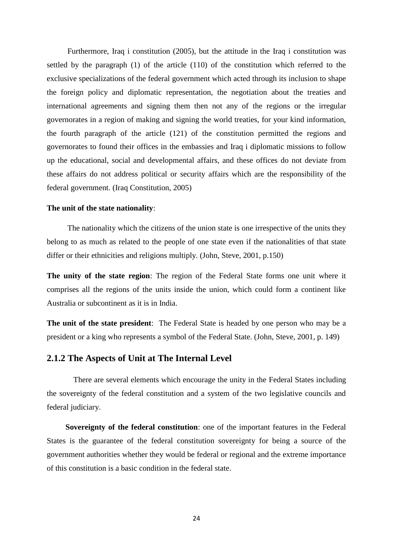Furthermore, Iraq i constitution (2005), but the attitude in the Iraq i constitution was settled by the paragraph (1) of the article (110) of the constitution which referred to the exclusive specializations of the federal government which acted through its inclusion to shape the foreign policy and diplomatic representation, the negotiation about the treaties and international agreements and signing them then not any of the regions or the irregular governorates in a region of making and signing the world treaties, for your kind information, the fourth paragraph of the article (121) of the constitution permitted the regions and governorates to found their offices in the embassies and Iraq i diplomatic missions to follow up the educational, social and developmental affairs, and these offices do not deviate from these affairs do not address political or security affairs which are the responsibility of the federal government. (Iraq Constitution, 2005)

#### **The unit of the state nationality**:

The nationality which the citizens of the union state is one irrespective of the units they belong to as much as related to the people of one state even if the nationalities of that state differ or their ethnicities and religions multiply. (John, Steve, 2001, p.150)

**The unity of the state region**: The region of the Federal State forms one unit where it comprises all the regions of the units inside the union, which could form a continent like Australia or subcontinent as it is in India.

**The unit of the state president**: The Federal State is headed by one person who may be a president or a king who represents a symbol of the Federal State. (John, Steve, 2001, p. 149)

## **2.1.2 The Aspects of Unit at The Internal Level**

 There are several elements which encourage the unity in the Federal States including the sovereignty of the federal constitution and a system of the two legislative councils and federal judiciary.

**Sovereignty of the federal constitution**: one of the important features in the Federal States is the guarantee of the federal constitution sovereignty for being a source of the government authorities whether they would be federal or regional and the extreme importance of this constitution is a basic condition in the federal state.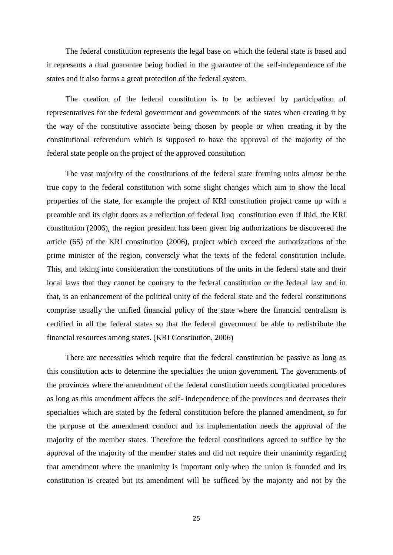The federal constitution represents the legal base on which the federal state is based and it represents a dual guarantee being bodied in the guarantee of the self-independence of the states and it also forms a great protection of the federal system.

The creation of the federal constitution is to be achieved by participation of representatives for the federal government and governments of the states when creating it by the way of the constitutive associate being chosen by people or when creating it by the constitutional referendum which is supposed to have the approval of the majority of the federal state people on the project of the approved constitution

The vast majority of the constitutions of the federal state forming units almost be the true copy to the federal constitution with some slight changes which aim to show the local properties of the state, for example the project of KRI constitution project came up with a preamble and its eight doors as a reflection of federal Iraq constitution even if Ibid, the KRI constitution (2006), the region president has been given big authorizations be discovered the article (65) of the KRI constitution (2006), project which exceed the authorizations of the prime minister of the region, conversely what the texts of the federal constitution include. This, and taking into consideration the constitutions of the units in the federal state and their local laws that they cannot be contrary to the federal constitution or the federal law and in that, is an enhancement of the political unity of the federal state and the federal constitutions comprise usually the unified financial policy of the state where the financial centralism is certified in all the federal states so that the federal government be able to redistribute the financial resources among states. (KRI Constitution, 2006)

There are necessities which require that the federal constitution be passive as long as this constitution acts to determine the specialties the union government. The governments of the provinces where the amendment of the federal constitution needs complicated procedures as long as this amendment affects the self- independence of the provinces and decreases their specialties which are stated by the federal constitution before the planned amendment, so for the purpose of the amendment conduct and its implementation needs the approval of the majority of the member states. Therefore the federal constitutions agreed to suffice by the approval of the majority of the member states and did not require their unanimity regarding that amendment where the unanimity is important only when the union is founded and its constitution is created but its amendment will be sufficed by the majority and not by the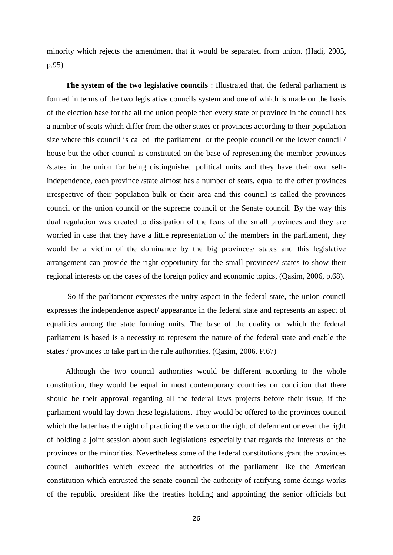minority which rejects the amendment that it would be separated from union. (Hadi, 2005, p.95)

**The system of the two legislative councils** : Illustrated that, the federal parliament is formed in terms of the two legislative councils system and one of which is made on the basis of the election base for the all the union people then every state or province in the council has a number of seats which differ from the other states or provinces according to their population size where this council is called the parliament or the people council or the lower council / house but the other council is constituted on the base of representing the member provinces /states in the union for being distinguished political units and they have their own selfindependence, each province /state almost has a number of seats, equal to the other provinces irrespective of their population bulk or their area and this council is called the provinces council or the union council or the supreme council or the Senate council. By the way this dual regulation was created to dissipation of the fears of the small provinces and they are worried in case that they have a little representation of the members in the parliament, they would be a victim of the dominance by the big provinces/ states and this legislative arrangement can provide the right opportunity for the small provinces/ states to show their regional interests on the cases of the foreign policy and economic topics, (Qasim, 2006, p.68).

So if the parliament expresses the unity aspect in the federal state, the union council expresses the independence aspect/ appearance in the federal state and represents an aspect of equalities among the state forming units. The base of the duality on which the federal parliament is based is a necessity to represent the nature of the federal state and enable the states / provinces to take part in the rule authorities. (Qasim, 2006. P.67)

Although the two council authorities would be different according to the whole constitution, they would be equal in most contemporary countries on condition that there should be their approval regarding all the federal laws projects before their issue, if the parliament would lay down these legislations. They would be offered to the provinces council which the latter has the right of practicing the veto or the right of deferment or even the right of holding a joint session about such legislations especially that regards the interests of the provinces or the minorities. Nevertheless some of the federal constitutions grant the provinces council authorities which exceed the authorities of the parliament like the American constitution which entrusted the senate council the authority of ratifying some doings works of the republic president like the treaties holding and appointing the senior officials but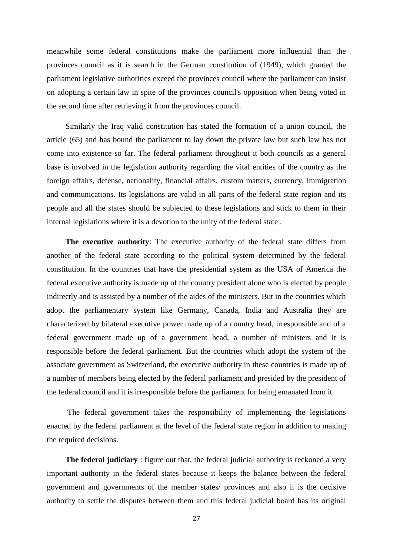meanwhile some federal constitutions make the parliament more influential than the provinces council as it is search in the German constitution of (1949), which granted the parliament legislative authorities exceed the provinces council where the parliament can insist on adopting a certain law in spite of the provinces council's opposition when being voted in the second time after retrieving it from the provinces council.

Similarly the Iraq valid constitution has stated the formation of a union council, the article (65) and has bound the parliament to lay down the private law but such law has not come into existence so far. The federal parliament throughout it both councils as a general base is involved in the legislation authority regarding the vital entities of the country as the foreign affairs, defense, nationality, financial affairs, custom matters, currency, immigration and communications. Its legislations are valid in all parts of the federal state region and its people and all the states should be subjected to these legislations and stick to them in their internal legislations where it is a devotion to the unity of the federal state .

**The executive authority**: The executive authority of the federal state differs from another of the federal state according to the political system determined by the federal constitution. In the countries that have the presidential system as the USA of America the federal executive authority is made up of the country president alone who is elected by people indirectly and is assisted by a number of the aides of the ministers. But in the countries which adopt the parliamentary system like Germany, Canada, India and Australia they are characterized by bilateral executive power made up of a country head, irresponsible and of a federal government made up of a government head, a number of ministers and it is responsible before the federal parliament. But the countries which adopt the system of the associate government as Switzerland, the executive authority in these countries is made up of a number of members being elected by the federal parliament and presided by the president of the federal council and it is irresponsible before the parliament for being emanated from it.

The federal government takes the responsibility of implementing the legislations enacted by the federal parliament at the level of the federal state region in addition to making the required decisions.

**The federal judiciary** : figure out that, the federal judicial authority is reckoned a very important authority in the federal states because it keeps the balance between the federal government and governments of the member states/ provinces and also it is the decisive authority to settle the disputes between them and this federal judicial board has its original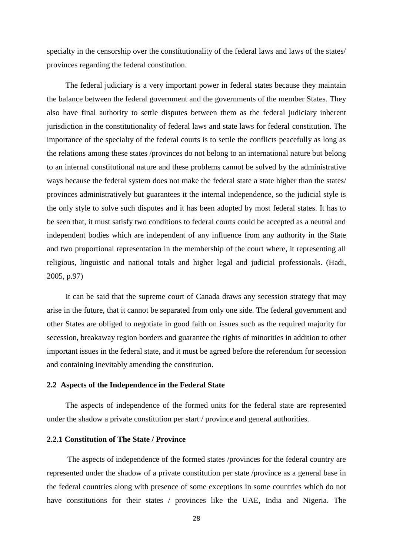specialty in the censorship over the constitutionality of the federal laws and laws of the states/ provinces regarding the federal constitution.

The federal judiciary is a very important power in federal states because they maintain the balance between the federal government and the governments of the member States. They also have final authority to settle disputes between them as the federal judiciary inherent jurisdiction in the constitutionality of federal laws and state laws for federal constitution. The importance of the specialty of the federal courts is to settle the conflicts peacefully as long as the relations among these states /provinces do not belong to an international nature but belong to an internal constitutional nature and these problems cannot be solved by the administrative ways because the federal system does not make the federal state a state higher than the states/ provinces administratively but guarantees it the internal independence, so the judicial style is the only style to solve such disputes and it has been adopted by most federal states. It has to be seen that, it must satisfy two conditions to federal courts could be accepted as a neutral and independent bodies which are independent of any influence from any authority in the State and two proportional representation in the membership of the court where, it representing all religious, linguistic and national totals and higher legal and judicial professionals. (Hadi, 2005, p.97)

It can be said that the supreme court of Canada draws any secession strategy that may arise in the future, that it cannot be separated from only one side. The federal government and other States are obliged to negotiate in good faith on issues such as the required majority for secession, breakaway region borders and guarantee the rights of minorities in addition to other important issues in the federal state, and it must be agreed before the referendum for secession and containing inevitably amending the constitution.

#### <span id="page-36-0"></span>**2.2 Aspects of the Independence in the Federal State**

The aspects of independence of the formed units for the federal state are represented under the shadow a private constitution per start / province and general authorities.

## <span id="page-36-1"></span>**2.2.1 Constitution of The State / Province**

The aspects of independence of the formed states /provinces for the federal country are represented under the shadow of a private constitution per state /province as a general base in the federal countries along with presence of some exceptions in some countries which do not have constitutions for their states / provinces like the UAE, India and Nigeria. The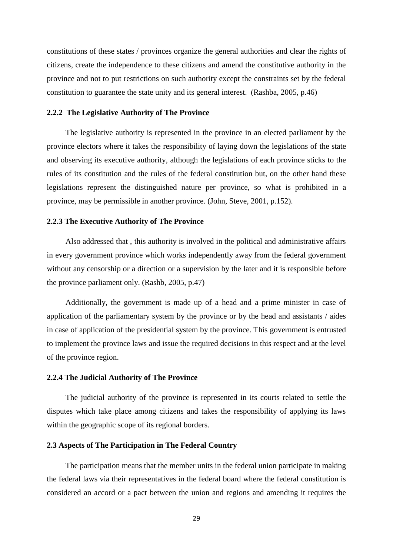constitutions of these states / provinces organize the general authorities and clear the rights of citizens, create the independence to these citizens and amend the constitutive authority in the province and not to put restrictions on such authority except the constraints set by the federal constitution to guarantee the state unity and its general interest. (Rashba, 2005, p.46)

#### <span id="page-37-0"></span>**2.2.2 The Legislative Authority of The Province**

The legislative authority is represented in the province in an elected parliament by the province electors where it takes the responsibility of laying down the legislations of the state and observing its executive authority, although the legislations of each province sticks to the rules of its constitution and the rules of the federal constitution but, on the other hand these legislations represent the distinguished nature per province, so what is prohibited in a province, may be permissible in another province. (John, Steve, 2001, p.152).

#### <span id="page-37-1"></span>**2.2.3 The Executive Authority of The Province**

Also addressed that , this authority is involved in the political and administrative affairs in every government province which works independently away from the federal government without any censorship or a direction or a supervision by the later and it is responsible before the province parliament only. (Rashb, 2005, p.47)

Additionally, the government is made up of a head and a prime minister in case of application of the parliamentary system by the province or by the head and assistants / aides in case of application of the presidential system by the province. This government is entrusted to implement the province laws and issue the required decisions in this respect and at the level of the province region.

#### <span id="page-37-2"></span>**2.2.4 The Judicial Authority of The Province**

The judicial authority of the province is represented in its courts related to settle the disputes which take place among citizens and takes the responsibility of applying its laws within the geographic scope of its regional borders.

#### <span id="page-37-3"></span>**2.3 Aspects of The Participation in The Federal Country**

The participation means that the member units in the federal union participate in making the federal laws via their representatives in the federal board where the federal constitution is considered an accord or a pact between the union and regions and amending it requires the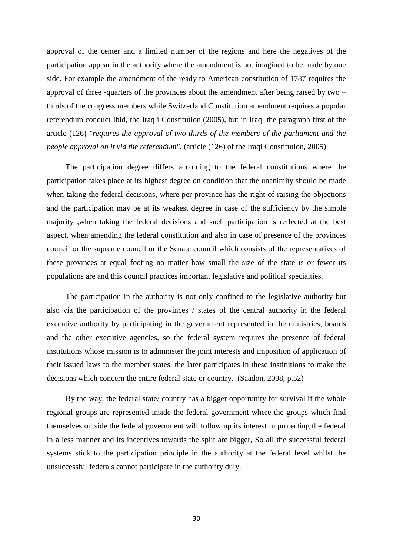approval of the center and a limited number of the regions and here the negatives of the participation appear in the authority where the amendment is not imagined to be made by one side. For example the amendment of the ready to American constitution of 1787 requires the approval of three -quarters of the provinces about the amendment after being raised by two – thirds of the congress members while Switzerland Constitution amendment requires a popular referendum conduct Ibid, the Iraq i Constitution (2005), but in Iraq the paragraph first of the article (126) *"requires the approval of two-thirds of the members of the parliament and the people approval on it via the referendum"*. (article (126) of the Iraqi Constitution, 2005)

The participation degree differs according to the federal constitutions where the participation takes place at its highest degree on condition that the unanimity should be made when taking the federal decisions, where per province has the right of raising the objections and the participation may be at its weakest degree in case of the sufficiency by the simple majority ,when taking the federal decisions and such participation is reflected at the best aspect, when amending the federal constitution and also in case of presence of the provinces council or the supreme council or the Senate council which consists of the representatives of these provinces at equal footing no matter how small the size of the state is or fewer its populations are and this council practices important legislative and political specialties.

The participation in the authority is not only confined to the legislative authority but also via the participation of the provinces / states of the central authority in the federal executive authority by participating in the government represented in the ministries, boards and the other executive agencies, so the federal system requires the presence of federal institutions whose mission is to administer the joint interests and imposition of application of their issued laws to the member states, the later participates in these institutions to make the decisions which concern the entire federal state or country. (Saadon, 2008, p.52)

By the way, the federal state/ country has a bigger opportunity for survival if the whole regional groups are represented inside the federal government where the groups which find themselves outside the federal government will follow up its interest in protecting the federal in a less manner and its incentives towards the split are bigger, So all the successful federal systems stick to the participation principle in the authority at the federal level whilst the unsuccessful federals cannot participate in the authority duly.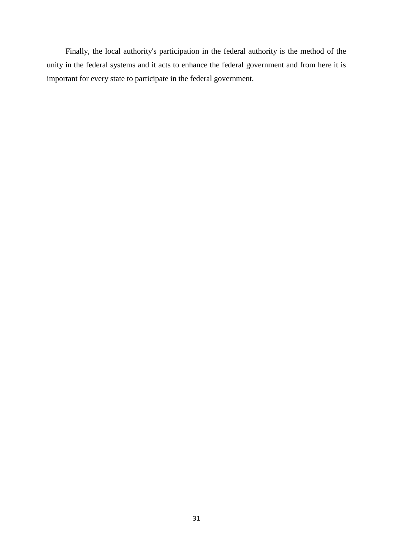Finally, the local authority's participation in the federal authority is the method of the unity in the federal systems and it acts to enhance the federal government and from here it is important for every state to participate in the federal government.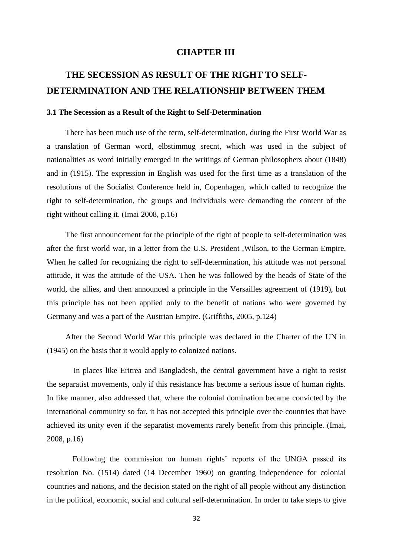## **CHAPTER III**

# <span id="page-40-1"></span><span id="page-40-0"></span>**THE SECESSION AS RESULT OF THE RIGHT TO SELF-DETERMINATION AND THE RELATIONSHIP BETWEEN THEM**

## <span id="page-40-2"></span>**3.1 The Secession as a Result of the Right to Self-Determination**

There has been much use of the term, self-determination, during the First World War as a translation of German word, elbstimmug srecnt, which was used in the subject of nationalities as word initially emerged in the writings of German philosophers about (1848) and in (1915). The expression in English was used for the first time as a translation of the resolutions of the Socialist Conference held in, Copenhagen, which called to recognize the right to self-determination, the groups and individuals were demanding the content of the right without calling it. (Imai 2008, p.16)

The first announcement for the principle of the right of people to self-determination was after the first world war, in a letter from the U.S. President ,Wilson, to the German Empire. When he called for recognizing the right to self-determination, his attitude was not personal attitude, it was the attitude of the USA. Then he was followed by the heads of State of the world, the allies, and then announced a principle in the Versailles agreement of (1919), but this principle has not been applied only to the benefit of nations who were governed by Germany and was a part of the Austrian Empire. (Griffiths, 2005, p.124)

After the Second World War this principle was declared in the Charter of the UN in (1945) on the basis that it would apply to colonized nations.

 In places like Eritrea and Bangladesh, the central government have a right to resist the separatist movements, only if this resistance has become a serious issue of human rights. In like manner, also addressed that, where the colonial domination became convicted by the international community so far, it has not accepted this principle over the countries that have achieved its unity even if the separatist movements rarely benefit from this principle. (Imai, 2008, p.16)

Following the commission on human rights' reports of the UNGA passed its resolution No. (1514) dated (14 December 1960) on granting independence for colonial countries and nations, and the decision stated on the right of all people without any distinction in the political, economic, social and cultural self-determination. In order to take steps to give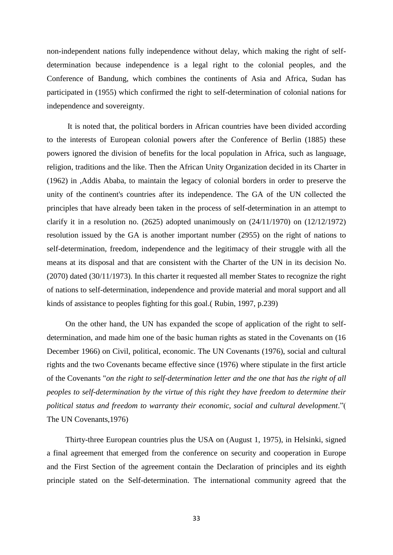non-independent nations fully independence without delay, which making the right of selfdetermination because independence is a legal right to the colonial peoples, and the Conference of Bandung, which combines the continents of Asia and Africa, Sudan has participated in (1955) which confirmed the right to self-determination of colonial nations for independence and sovereignty.

It is noted that, the political borders in African countries have been divided according to the interests of European colonial powers after the Conference of Berlin (1885) these powers ignored the division of benefits for the local population in Africa, such as language, religion, traditions and the like. Then the African Unity Organization decided in its Charter in (1962) in ,Addis Ababa, to maintain the legacy of colonial borders in order to preserve the unity of the continent's countries after its independence. The GA of the UN collected the principles that have already been taken in the process of self-determination in an attempt to clarify it in a resolution no. (2625) adopted unanimously on  $(24/11/1970)$  on  $(12/12/1972)$ resolution issued by the GA is another important number (2955) on the right of nations to self-determination, freedom, independence and the legitimacy of their struggle with all the means at its disposal and that are consistent with the Charter of the UN in its decision No. (2070) dated (30/11/1973). In this charter it requested all member States to recognize the right of nations to self-determination, independence and provide material and moral support and all kinds of assistance to peoples fighting for this goal.( Rubin, 1997, p.239)

On the other hand, the UN has expanded the scope of application of the right to selfdetermination, and made him one of the basic human rights as stated in the Covenants on (16 December 1966) on Civil, political, economic. The UN Covenants (1976), social and cultural rights and the two Covenants became effective since (1976) where stipulate in the first article of the Covenants "*on the right to self-determination letter and the one that has the right of all peoples to self-determination by the virtue of this right they have freedom to determine their political status and freedom to warranty their economic, social and cultural development*."( The UN Covenants,1976)

Thirty-three European countries plus the USA on (August 1, 1975), in Helsinki, signed a final agreement that emerged from the conference on security and cooperation in Europe and the First Section of the agreement contain the Declaration of principles and its eighth principle stated on the Self-determination. The international community agreed that the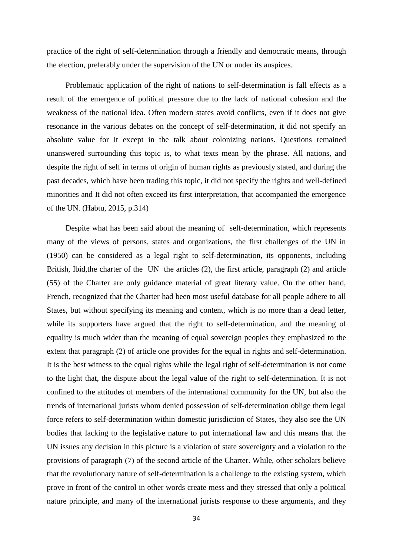practice of the right of self-determination through a friendly and democratic means, through the election, preferably under the supervision of the UN or under its auspices.

Problematic application of the right of nations to self-determination is fall effects as a result of the emergence of political pressure due to the lack of national cohesion and the weakness of the national idea. Often modern states avoid conflicts, even if it does not give resonance in the various debates on the concept of self-determination, it did not specify an absolute value for it except in the talk about colonizing nations. Questions remained unanswered surrounding this topic is, to what texts mean by the phrase. All nations, and despite the right of self in terms of origin of human rights as previously stated, and during the past decades, which have been trading this topic, it did not specify the rights and well-defined minorities and It did not often exceed its first interpretation, that accompanied the emergence of the UN. (Habtu, 2015, p.314)

Despite what has been said about the meaning of self-determination, which represents many of the views of persons, states and organizations, the first challenges of the UN in (1950) can be considered as a legal right to self-determination, its opponents, including British, Ibid,the charter of the UN the articles (2), the first article, paragraph (2) and article (55) of the Charter are only guidance material of great literary value. On the other hand, French, recognized that the Charter had been most useful database for all people adhere to all States, but without specifying its meaning and content, which is no more than a dead letter, while its supporters have argued that the right to self-determination, and the meaning of equality is much wider than the meaning of equal sovereign peoples they emphasized to the extent that paragraph (2) of article one provides for the equal in rights and self-determination. It is the best witness to the equal rights while the legal right of self-determination is not come to the light that, the dispute about the legal value of the right to self-determination. It is not confined to the attitudes of members of the international community for the UN, but also the trends of international jurists whom denied possession of self-determination oblige them legal force refers to self-determination within domestic jurisdiction of States, they also see the UN bodies that lacking to the legislative nature to put international law and this means that the UN issues any decision in this picture is a violation of state sovereignty and a violation to the provisions of paragraph (7) of the second article of the Charter. While, other scholars believe that the revolutionary nature of self-determination is a challenge to the existing system, which prove in front of the control in other words create mess and they stressed that only a political nature principle, and many of the international jurists response to these arguments, and they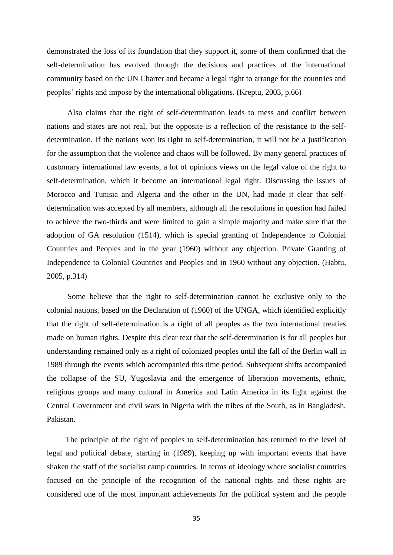demonstrated the loss of its foundation that they support it, some of them confirmed that the self-determination has evolved through the decisions and practices of the international community based on the UN Charter and became a legal right to arrange for the countries and peoples' rights and impose by the international obligations. (Kreptu, 2003, p.66)

Also claims that the right of self-determination leads to mess and conflict between nations and states are not real, but the opposite is a reflection of the resistance to the selfdetermination. If the nations won its right to self-determination, it will not be a justification for the assumption that the violence and chaos will be followed. By many general practices of customary international law events, a lot of opinions views on the legal value of the right to self-determination, which it become an international legal right. Discussing the issues of Morocco and Tunisia and Algeria and the other in the UN, had made it clear that selfdetermination was accepted by all members, although all the resolutions in question had failed to achieve the two-thirds and were limited to gain a simple majority and make sure that the adoption of GA resolution (1514), which is special granting of Independence to Colonial Countries and Peoples and in the year (1960) without any objection. Private Granting of Independence to Colonial Countries and Peoples and in 1960 without any objection. (Habtu, 2005, p.314)

Some believe that the right to self-determination cannot be exclusive only to the colonial nations, based on the Declaration of (1960) of the UNGA, which identified explicitly that the right of self-determination is a right of all peoples as the two international treaties made on human rights. Despite this clear text that the self-determination is for all peoples but understanding remained only as a right of colonized peoples until the fall of the Berlin wall in 1989 through the events which accompanied this time period. Subsequent shifts accompanied the collapse of the SU, Yugoslavia and the emergence of liberation movements, ethnic, religious groups and many cultural in America and Latin America in its fight against the Central Government and civil wars in Nigeria with the tribes of the South, as in Bangladesh, Pakistan.

The principle of the right of peoples to self-determination has returned to the level of legal and political debate, starting in (1989), keeping up with important events that have shaken the staff of the socialist camp countries. In terms of ideology where socialist countries focused on the principle of the recognition of the national rights and these rights are considered one of the most important achievements for the political system and the people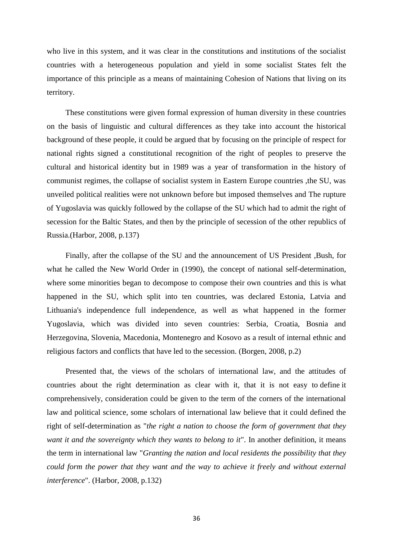who live in this system, and it was clear in the constitutions and institutions of the socialist countries with a heterogeneous population and yield in some socialist States felt the importance of this principle as a means of maintaining Cohesion of Nations that living on its territory.

These constitutions were given formal expression of human diversity in these countries on the basis of linguistic and cultural differences as they take into account the historical background of these people, it could be argued that by focusing on the principle of respect for national rights signed a constitutional recognition of the right of peoples to preserve the cultural and historical identity but in 1989 was a year of transformation in the history of communist regimes, the collapse of socialist system in Eastern Europe countries ,the SU, was unveiled political realities were not unknown before but imposed themselves and The rupture of Yugoslavia was quickly followed by the collapse of the SU which had to admit the right of secession for the Baltic States, and then by the principle of secession of the other republics of Russia.(Harbor, 2008, p.137)

Finally, after the collapse of the SU and the announcement of US President ,Bush, for what he called the New World Order in (1990), the concept of national self-determination, where some minorities began to decompose to compose their own countries and this is what happened in the SU, which split into ten countries, was declared Estonia, Latvia and Lithuania's independence full independence, as well as what happened in the former Yugoslavia, which was divided into seven countries: Serbia, Croatia, Bosnia and Herzegovina, Slovenia, Macedonia, Montenegro and Kosovo as a result of internal ethnic and religious factors and conflicts that have led to the secession. (Borgen, 2008, p.2)

Presented that, the views of the scholars of international law, and the attitudes of countries about the right determination as clear with it, that it is not easy to define it comprehensively, consideration could be given to the term of the corners of the international law and political science, some scholars of international law believe that it could defined the right of self-determination as "*the right a nation to choose the form of government that they want it and the sovereignty which they wants to belong to it*". In another definition, it means the term in international law "*Granting the nation and local residents the possibility that they could form the power that they want and the way to achieve it freely and without external interference*". (Harbor, 2008, p.132)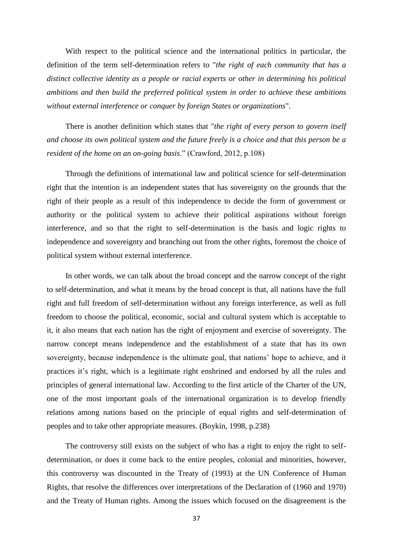With respect to the political science and the international politics in particular, the definition of the term self-determination refers to "*the right of each community that has a distinct collective identity as a people or racial experts or other in determining his political ambitions and then build the preferred political system in order to achieve these ambitions without external interference or conquer by foreign States or organizations*".

There is another definition which states that "*the right of every person to govern itself and choose its own political system and the future freely is a choice and that this person be a resident of the home on an on-going basis*." (Crawford, 2012, p.108)

Through the definitions of international law and political science for self-determination right that the intention is an independent states that has sovereignty on the grounds that the right of their people as a result of this independence to decide the form of government or authority or the political system to achieve their political aspirations without foreign interference, and so that the right to self-determination is the basis and logic rights to independence and sovereignty and branching out from the other rights, foremost the choice of political system without external interference.

In other words, we can talk about the broad concept and the narrow concept of the right to self-determination, and what it means by the broad concept is that, all nations have the full right and full freedom of self-determination without any foreign interference, as well as full freedom to choose the political, economic, social and cultural system which is acceptable to it, it also means that each nation has the right of enjoyment and exercise of sovereignty. The narrow concept means independence and the establishment of a state that has its own sovereignty, because independence is the ultimate goal, that nations' hope to achieve, and it practices it's right, which is a legitimate right enshrined and endorsed by all the rules and principles of general international law. According to the first article of the Charter of the UN, one of the most important goals of the international organization is to develop friendly relations among nations based on the principle of equal rights and self-determination of peoples and to take other appropriate measures. (Boykin, 1998, p.238)

The controversy still exists on the subject of who has a right to enjoy the right to selfdetermination, or does it come back to the entire peoples, colonial and minorities, however, this controversy was discounted in the Treaty of (1993) at the UN Conference of Human Rights, that resolve the differences over interpretations of the Declaration of (1960 and 1970) and the Treaty of Human rights. Among the issues which focused on the disagreement is the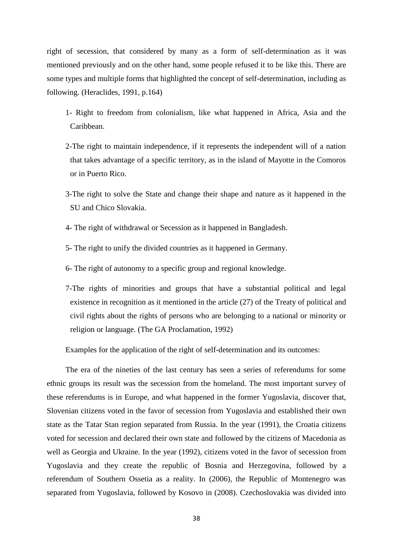right of secession, that considered by many as a form of self-determination as it was mentioned previously and on the other hand, some people refused it to be like this. There are some types and multiple forms that highlighted the concept of self-determination, including as following. (Heraclides, 1991, p.164)

- 1- Right to freedom from colonialism, like what happened in Africa, Asia and the Caribbean.
- 2-The right to maintain independence, if it represents the independent will of a nation that takes advantage of a specific territory, as in the island of Mayotte in the Comoros or in Puerto Rico.
- 3-The right to solve the State and change their shape and nature as it happened in the SU and Chico Slovakia.
- 4- The right of withdrawal or Secession as it happened in Bangladesh.
- 5- The right to unify the divided countries as it happened in Germany.
- 6- The right of autonomy to a specific group and regional knowledge.
- 7-The rights of minorities and groups that have a substantial political and legal existence in recognition as it mentioned in the article (27) of the Treaty of political and civil rights about the rights of persons who are belonging to a national or minority or religion or language. (The GA Proclamation, 1992)

Examples for the application of the right of self-determination and its outcomes:

The era of the nineties of the last century has seen a series of referendums for some ethnic groups its result was the secession from the homeland. The most important survey of these referendums is in Europe, and what happened in the former Yugoslavia, discover that, Slovenian citizens voted in the favor of secession from Yugoslavia and established their own state as the Tatar Stan region separated from Russia. In the year (1991), the Croatia citizens voted for secession and declared their own state and followed by the citizens of Macedonia as well as Georgia and Ukraine. In the year (1992), citizens voted in the favor of secession from Yugoslavia and they create the republic of Bosnia and Herzegovina, followed by a referendum of Southern Ossetia as a reality. In (2006), the Republic of Montenegro was separated from Yugoslavia, followed by Kosovo in (2008). Czechoslovakia was divided into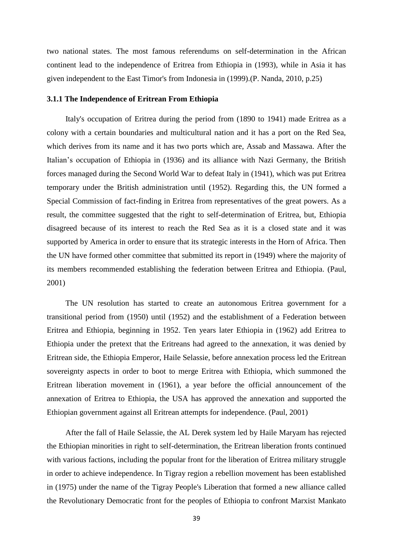two national states. The most famous referendums on self-determination in the African continent lead to the independence of Eritrea from Ethiopia in (1993), while in Asia it has given independent to the East Timor's from Indonesia in (1999).(P. Nanda, 2010, p.25)

#### <span id="page-47-0"></span>**3.1.1 The Independence of Eritrean From Ethiopia**

Italy's occupation of Eritrea during the period from (1890 to 1941) made Eritrea as a colony with a certain boundaries and multicultural nation and it has a port on the Red Sea, which derives from its name and it has two ports which are, Assab and Massawa. After the Italian's occupation of Ethiopia in (1936) and its alliance with Nazi Germany, the British forces managed during the Second World War to defeat Italy in (1941), which was put Eritrea temporary under the British administration until (1952). Regarding this, the UN formed a Special Commission of fact-finding in Eritrea from representatives of the great powers. As a result, the committee suggested that the right to self-determination of Eritrea, but, Ethiopia disagreed because of its interest to reach the Red Sea as it is a closed state and it was supported by America in order to ensure that its strategic interests in the Horn of Africa. Then the UN have formed other committee that submitted its report in (1949) where the majority of its members recommended establishing the federation between Eritrea and Ethiopia. (Paul, 2001)

The UN resolution has started to create an autonomous Eritrea government for a transitional period from (1950) until (1952) and the establishment of a Federation between Eritrea and Ethiopia, beginning in 1952. Ten years later Ethiopia in (1962) add Eritrea to Ethiopia under the pretext that the Eritreans had agreed to the annexation, it was denied by Eritrean side, the Ethiopia Emperor, Haile Selassie, before annexation process led the Eritrean sovereignty aspects in order to boot to merge Eritrea with Ethiopia, which summoned the Eritrean liberation movement in (1961), a year before the official announcement of the annexation of Eritrea to Ethiopia, the USA has approved the annexation and supported the Ethiopian government against all Eritrean attempts for independence. (Paul, 2001)

After the fall of Haile Selassie, the AL Derek system led by Haile Maryam has rejected the Ethiopian minorities in right to self-determination, the Eritrean liberation fronts continued with various factions, including the popular front for the liberation of Eritrea military struggle in order to achieve independence. In Tigray region a rebellion movement has been established in (1975) under the name of the Tigray People's Liberation that formed a new alliance called the Revolutionary Democratic front for the peoples of Ethiopia to confront Marxist Mankato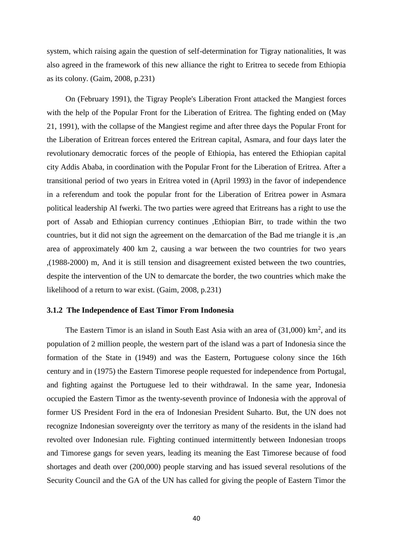system, which raising again the question of self-determination for Tigray nationalities, It was also agreed in the framework of this new alliance the right to Eritrea to secede from Ethiopia as its colony. (Gaim, 2008, p.231)

On (February 1991), the Tigray People's Liberation Front attacked the Mangiest forces with the help of the Popular Front for the Liberation of Eritrea. The fighting ended on (May 21, 1991), with the collapse of the Mangiest regime and after three days the Popular Front for the Liberation of Eritrean forces entered the Eritrean capital, Asmara, and four days later the revolutionary democratic forces of the people of Ethiopia, has entered the Ethiopian capital city Addis Ababa, in coordination with the Popular Front for the Liberation of Eritrea. After a transitional period of two years in Eritrea voted in (April 1993) in the favor of independence in a referendum and took the popular front for the Liberation of Eritrea power in Asmara political leadership Al fwerki. The two parties were agreed that Eritreans has a right to use the port of Assab and Ethiopian currency continues ,Ethiopian Birr, to trade within the two countries, but it did not sign the agreement on the demarcation of the Bad me triangle it is ,an area of approximately 400 km 2, causing a war between the two countries for two years ,(1988-2000) m, And it is still tension and disagreement existed between the two countries, despite the intervention of the UN to demarcate the border, the two countries which make the likelihood of a return to war exist. (Gaim, 2008, p.231)

#### <span id="page-48-0"></span>**3.1.2 The Independence of East Timor From Indonesia**

The Eastern Timor is an island in South East Asia with an area of  $(31,000)$  km<sup>2</sup>, and its population of 2 million people, the western part of the island was a part of Indonesia since the formation of the State in (1949) and was the Eastern, Portuguese colony since the 16th century and in (1975) the Eastern Timorese people requested for independence from Portugal, and fighting against the Portuguese led to their withdrawal. In the same year, Indonesia occupied the Eastern Timor as the twenty-seventh province of Indonesia with the approval of former US President Ford in the era of Indonesian President Suharto. But, the UN does not recognize Indonesian sovereignty over the territory as many of the residents in the island had revolted over Indonesian rule. Fighting continued intermittently between Indonesian troops and Timorese gangs for seven years, leading its meaning the East Timorese because of food shortages and death over (200,000) people starving and has issued several resolutions of the Security Council and the GA of the UN has called for giving the people of Eastern Timor the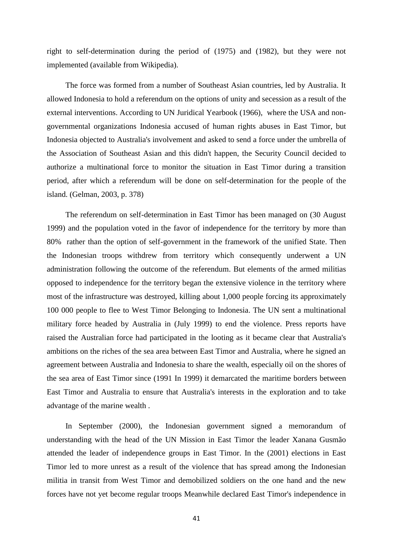right to self-determination during the period of (1975) and (1982), but they were not implemented (available from Wikipedia).

The force was formed from a number of Southeast Asian countries, led by Australia. It allowed Indonesia to hold a referendum on the options of unity and secession as a result of the external interventions. According to UN Juridical Yearbook (1966), where the USA and nongovernmental organizations Indonesia accused of human rights abuses in East Timor, but Indonesia objected to Australia's involvement and asked to send a force under the umbrella of the Association of Southeast Asian and this didn't happen, the Security Council decided to authorize a multinational force to monitor the situation in East Timor during a transition period, after which a referendum will be done on self-determination for the people of the island. (Gelman, 2003, p. 378)

The referendum on self-determination in East Timor has been managed on (30 August 1999) and the population voted in the favor of independence for the territory by more than 80% rather than the option of self-government in the framework of the unified State. Then the Indonesian troops withdrew from territory which consequently underwent a UN administration following the outcome of the referendum. But elements of the armed militias opposed to independence for the territory began the extensive violence in the territory where most of the infrastructure was destroyed, killing about 1,000 people forcing its approximately 100 000 people to flee to West Timor Belonging to Indonesia. The UN sent a multinational military force headed by Australia in (July 1999) to end the violence. Press reports have raised the Australian force had participated in the looting as it became clear that Australia's ambitions on the riches of the sea area between East Timor and Australia, where he signed an agreement between Australia and Indonesia to share the wealth, especially oil on the shores of the sea area of East Timor since (1991 In 1999) it demarcated the maritime borders between East Timor and Australia to ensure that Australia's interests in the exploration and to take advantage of the marine wealth .

In September (2000), the Indonesian government signed a memorandum of understanding with the head of the UN Mission in East Timor the leader Xanana Gusmão attended the leader of independence groups in East Timor. In the (2001) elections in East Timor led to more unrest as a result of the violence that has spread among the Indonesian militia in transit from West Timor and demobilized soldiers on the one hand and the new forces have not yet become regular troops Meanwhile declared East Timor's independence in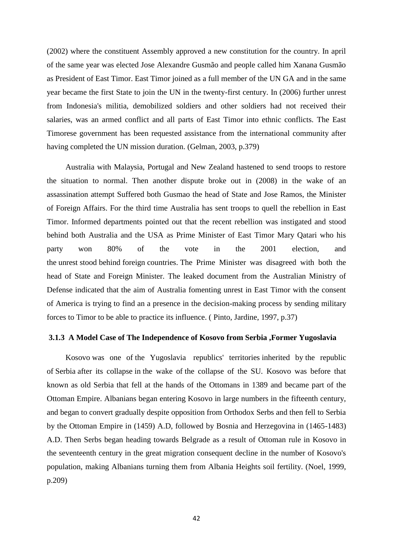(2002) where the constituent Assembly approved a new constitution for the country. In april of the same year was elected Jose Alexandre Gusmão and people called him Xanana Gusmão as President of East Timor. East Timor joined as a full member of the UN GA and in the same year became the first State to join the UN in the twenty-first century. In (2006) further unrest from Indonesia's militia, demobilized soldiers and other soldiers had not received their salaries, was an armed conflict and all parts of East Timor into ethnic conflicts. The East Timorese government has been requested assistance from the international community after having completed the UN mission duration. (Gelman, 2003, p.379)

Australia with Malaysia, Portugal and New Zealand hastened to send troops to restore the situation to normal. Then another dispute broke out in (2008) in the wake of an assassination attempt Suffered both Gusmao the head of State and Jose Ramos, the Minister of Foreign Affairs. For the third time Australia has sent troops to quell the rebellion in East Timor. Informed departments pointed out that the recent rebellion was instigated and stood behind both Australia and the USA as Prime Minister of East Timor Mary Qatari who his party won 80% of the vote in the 2001 election, and the unrest stood behind foreign countries. The Prime Minister was disagreed with both the head of State and Foreign Minister. The leaked document from the Australian Ministry of Defense indicated that the aim of Australia fomenting unrest in East Timor with the consent of America is trying to find an a presence in the decision-making process by sending military forces to Timor to be able to practice its influence. ( Pinto, Jardine, 1997, p.37)

#### <span id="page-50-0"></span>**3.1.3 A Model Case of The Independence of Kosovo from Serbia ,Former Yugoslavia**

Kosovo was one of the Yugoslavia republics' territories inherited by the republic of Serbia after its collapse in the wake of the collapse of the SU. Kosovo was before that known as old Serbia that fell at the hands of the Ottomans in 1389 and became part of the Ottoman Empire. Albanians began entering Kosovo in large numbers in the fifteenth century, and began to convert gradually despite opposition from Orthodox Serbs and then fell to Serbia by the Ottoman Empire in (1459) A.D, followed by Bosnia and Herzegovina in (1465-1483) A.D. Then Serbs began heading towards Belgrade as a result of Ottoman rule in Kosovo in the seventeenth century in the great migration consequent decline in the number of Kosovo's population, making Albanians turning them from Albania Heights soil fertility. (Noel, 1999, p.209)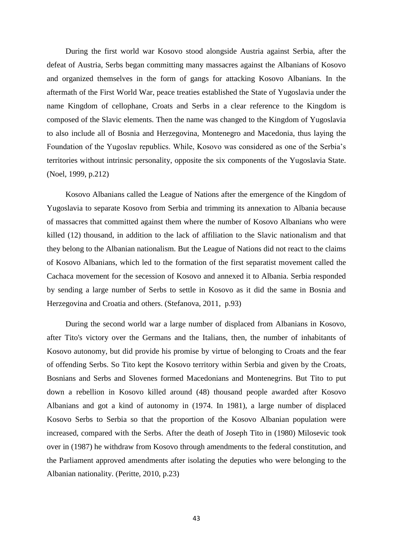During the first world war Kosovo stood alongside Austria against Serbia, after the defeat of Austria, Serbs began committing many massacres against the Albanians of Kosovo and organized themselves in the form of gangs for attacking Kosovo Albanians. In the aftermath of the First World War, peace treaties established the State of Yugoslavia under the name Kingdom of cellophane, Croats and Serbs in a clear reference to the Kingdom is composed of the Slavic elements. Then the name was changed to the Kingdom of Yugoslavia to also include all of Bosnia and Herzegovina, Montenegro and Macedonia, thus laying the Foundation of the Yugoslav republics. While, Kosovo was considered as one of the Serbia's territories without intrinsic personality, opposite the six components of the Yugoslavia State. (Noel, 1999, p.212)

Kosovo Albanians called the League of Nations after the emergence of the Kingdom of Yugoslavia to separate Kosovo from Serbia and trimming its annexation to Albania because of massacres that committed against them where the number of Kosovo Albanians who were killed (12) thousand, in addition to the lack of affiliation to the Slavic nationalism and that they belong to the Albanian nationalism. But the League of Nations did not react to the claims of Kosovo Albanians, which led to the formation of the first separatist movement called the Cachaca movement for the secession of Kosovo and annexed it to Albania. Serbia responded by sending a large number of Serbs to settle in Kosovo as it did the same in Bosnia and Herzegovina and Croatia and others. (Stefanova, 2011, p.93)

During the second world war a large number of displaced from Albanians in Kosovo, after Tito's victory over the Germans and the Italians, then, the number of inhabitants of Kosovo autonomy, but did provide his promise by virtue of belonging to Croats and the fear of offending Serbs. So Tito kept the Kosovo territory within Serbia and given by the Croats, Bosnians and Serbs and Slovenes formed Macedonians and Montenegrins. But Tito to put down a rebellion in Kosovo killed around (48) thousand people awarded after Kosovo Albanians and got a kind of autonomy in (1974. In 1981), a large number of displaced Kosovo Serbs to Serbia so that the proportion of the Kosovo Albanian population were increased, compared with the Serbs. After the death of Joseph Tito in (1980) Milosevic took over in (1987) he withdraw from Kosovo through amendments to the federal constitution, and the Parliament approved amendments after isolating the deputies who were belonging to the Albanian nationality. (Peritte, 2010, p.23)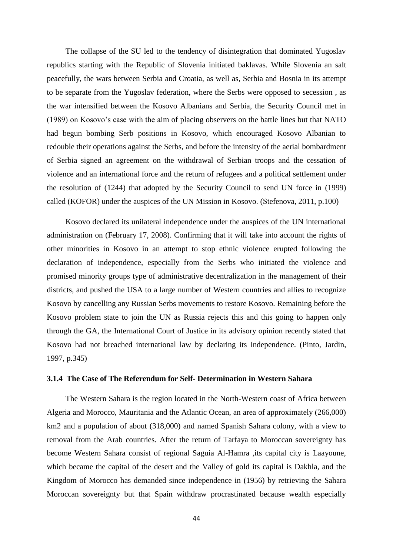The collapse of the SU led to the tendency of disintegration that dominated Yugoslav republics starting with the Republic of Slovenia initiated baklavas. While Slovenia an salt peacefully, the wars between Serbia and Croatia, as well as, Serbia and Bosnia in its attempt to be separate from the Yugoslav federation, where the Serbs were opposed to secession , as the war intensified between the Kosovo Albanians and Serbia, the Security Council met in (1989) on Kosovo's case with the aim of placing observers on the battle lines but that NATO had begun bombing Serb positions in Kosovo, which encouraged Kosovo Albanian to redouble their operations against the Serbs, and before the intensity of the aerial bombardment of Serbia signed an agreement on the withdrawal of Serbian troops and the cessation of violence and an international force and the return of refugees and a political settlement under the resolution of (1244) that adopted by the Security Council to send UN force in (1999) called (KOFOR) under the auspices of the UN Mission in Kosovo. (Stefenova, 2011, p.100)

Kosovo declared its unilateral independence under the auspices of the UN international administration on (February 17, 2008). Confirming that it will take into account the rights of other minorities in Kosovo in an attempt to stop ethnic violence erupted following the declaration of independence, especially from the Serbs who initiated the violence and promised minority groups type of administrative decentralization in the management of their districts, and pushed the USA to a large number of Western countries and allies to recognize Kosovo by cancelling any Russian Serbs movements to restore Kosovo. Remaining before the Kosovo problem state to join the UN as Russia rejects this and this going to happen only through the GA, the International Court of Justice in its advisory opinion recently stated that Kosovo had not breached international law by declaring its independence. (Pinto, Jardin, 1997, p.345)

## <span id="page-52-0"></span>**3.1.4 The Case of The Referendum for Self- Determination in Western Sahara**

The Western Sahara is the region located in the North-Western coast of Africa between Algeria and Morocco, Mauritania and the Atlantic Ocean, an area of approximately (266,000) km2 and a population of about (318,000) and named Spanish Sahara colony, with a view to removal from the Arab countries. After the return of Tarfaya to Moroccan sovereignty has become Western Sahara consist of regional Saguia Al-Hamra ,its capital city is Laayoune, which became the capital of the desert and the Valley of gold its capital is Dakhla, and the Kingdom of Morocco has demanded since independence in (1956) by retrieving the Sahara Moroccan sovereignty but that Spain withdraw procrastinated because wealth especially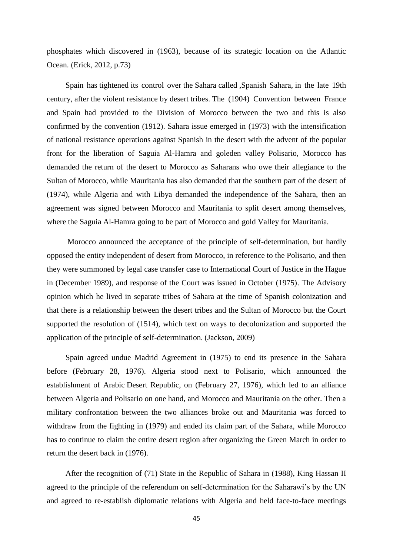phosphates which discovered in (1963), because of its strategic location on the Atlantic Ocean. (Erick, 2012, p.73)

Spain has tightened its control over the Sahara called ,Spanish Sahara, in the late 19th century, after the violent resistance by desert tribes. The (1904) Convention between France and Spain had provided to the Division of Morocco between the two and this is also confirmed by the convention (1912). Sahara issue emerged in (1973) with the intensification of national resistance operations against Spanish in the desert with the advent of the popular front for the liberation of Saguia Al-Hamra and goleden valley Polisario, Morocco has demanded the return of the desert to Morocco as Saharans who owe their allegiance to the Sultan of Morocco, while Mauritania has also demanded that the southern part of the desert of (1974), while Algeria and with Libya demanded the independence of the Sahara, then an agreement was signed between Morocco and Mauritania to split desert among themselves, where the Saguia Al-Hamra going to be part of Morocco and gold Valley for Mauritania.

Morocco announced the acceptance of the principle of self-determination, but hardly opposed the entity independent of desert from Morocco, in reference to the Polisario, and then they were summoned by legal case transfer case to International Court of Justice in the Hague in (December 1989), and response of the Court was issued in October (1975). The Advisory opinion which he lived in separate tribes of Sahara at the time of Spanish colonization and that there is a relationship between the desert tribes and the Sultan of Morocco but the Court supported the resolution of (1514), which text on ways to decolonization and supported the application of the principle of self-determination. (Jackson, 2009)

Spain agreed undue Madrid Agreement in (1975) to end its presence in the Sahara before (February 28, 1976). Algeria stood next to Polisario, which announced the establishment of Arabic Desert Republic, on (February 27, 1976), which led to an alliance between Algeria and Polisario on one hand, and Morocco and Mauritania on the other. Then a military confrontation between the two alliances broke out and Mauritania was forced to withdraw from the fighting in (1979) and ended its claim part of the Sahara, while Morocco has to continue to claim the entire desert region after organizing the Green March in order to return the desert back in (1976).

After the recognition of (71) State in the Republic of Sahara in (1988), King Hassan II agreed to the principle of the referendum on self-determination for the Saharawi's by the UN and agreed to re-establish diplomatic relations with Algeria and held face-to-face meetings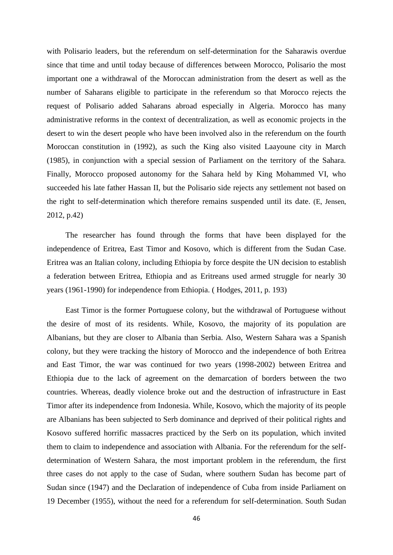with Polisario leaders, but the referendum on self-determination for the Saharawis overdue since that time and until today because of differences between Morocco, Polisario the most important one a withdrawal of the Moroccan administration from the desert as well as the number of Saharans eligible to participate in the referendum so that Morocco rejects the request of Polisario added Saharans abroad especially in Algeria. Morocco has many administrative reforms in the context of decentralization, as well as economic projects in the desert to win the desert people who have been involved also in the referendum on the fourth Moroccan constitution in (1992), as such the King also visited Laayoune city in March (1985), in conjunction with a special session of Parliament on the territory of the Sahara. Finally, Morocco proposed autonomy for the Sahara held by King Mohammed VI, who succeeded his late father Hassan II, but the Polisario side rejects any settlement not based on the right to self-determination which therefore remains suspended until its date. (E, Jensen, 2012, p.42)

The researcher has found through the forms that have been displayed for the independence of Eritrea, East Timor and Kosovo, which is different from the Sudan Case. Eritrea was an Italian colony, including Ethiopia by force despite the UN decision to establish a federation between Eritrea, Ethiopia and as Eritreans used armed struggle for nearly 30 years (1961-1990) for independence from Ethiopia. ( Hodges, 2011, p. 193)

East Timor is the former Portuguese colony, but the withdrawal of Portuguese without the desire of most of its residents. While, Kosovo, the majority of its population are Albanians, but they are closer to Albania than Serbia. Also, Western Sahara was a Spanish colony, but they were tracking the history of Morocco and the independence of both Eritrea and East Timor, the war was continued for two years (1998-2002) between Eritrea and Ethiopia due to the lack of agreement on the demarcation of borders between the two countries. Whereas, deadly violence broke out and the destruction of infrastructure in East Timor after its independence from Indonesia. While, Kosovo, which the majority of its people are Albanians has been subjected to Serb dominance and deprived of their political rights and Kosovo suffered horrific massacres practiced by the Serb on its population, which invited them to claim to independence and association with Albania. For the referendum for the selfdetermination of Western Sahara, the most important problem in the referendum, the first three cases do not apply to the case of Sudan, where southern Sudan has become part of Sudan since (1947) and the Declaration of independence of Cuba from inside Parliament on 19 December (1955), without the need for a referendum for self-determination. South Sudan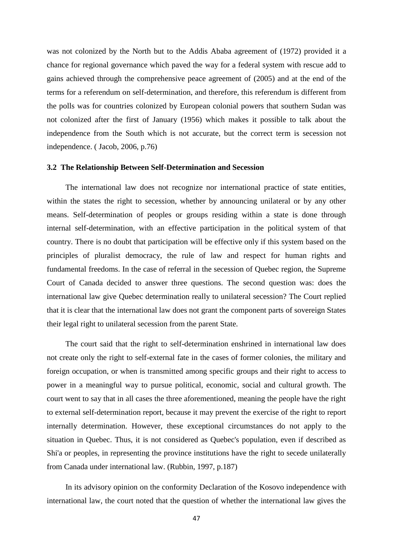was not colonized by the North but to the Addis Ababa agreement of (1972) provided it a chance for regional governance which paved the way for a federal system with rescue add to gains achieved through the comprehensive peace agreement of (2005) and at the end of the terms for a referendum on self-determination, and therefore, this referendum is different from the polls was for countries colonized by European colonial powers that southern Sudan was not colonized after the first of January (1956) which makes it possible to talk about the independence from the South which is not accurate, but the correct term is secession not independence. ( Jacob, 2006, p.76)

#### <span id="page-55-0"></span>**3.2 The Relationship Between Self-Determination and Secession**

The international law does not recognize nor international practice of state entities, within the states the right to secession, whether by announcing unilateral or by any other means. Self-determination of peoples or groups residing within a state is done through internal self-determination, with an effective participation in the political system of that country. There is no doubt that participation will be effective only if this system based on the principles of pluralist democracy, the rule of law and respect for human rights and fundamental freedoms. In the case of referral in the secession of Quebec region, the Supreme Court of Canada decided to answer three questions. The second question was: does the international law give Quebec determination really to unilateral secession? The Court replied that it is clear that the international law does not grant the component parts of sovereign States their legal right to unilateral secession from the parent State.

The court said that the right to self-determination enshrined in international law does not create only the right to self-external fate in the cases of former colonies, the military and foreign occupation, or when is transmitted among specific groups and their right to access to power in a meaningful way to pursue political, economic, social and cultural growth. The court went to say that in all cases the three aforementioned, meaning the people have the right to external self-determination report, because it may prevent the exercise of the right to report internally determination. However, these exceptional circumstances do not apply to the situation in Quebec. Thus, it is not considered as Quebec's population, even if described as Shi'a or peoples, in representing the province institutions have the right to secede unilaterally from Canada under international law. (Rubbin, 1997, p.187)

In its advisory opinion on the conformity Declaration of the Kosovo independence with international law, the court noted that the question of whether the international law gives the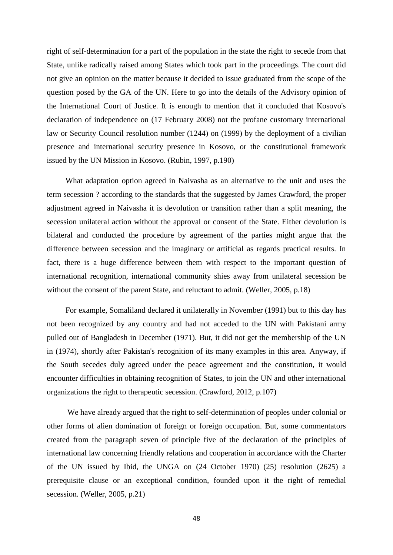right of self-determination for a part of the population in the state the right to secede from that State, unlike radically raised among States which took part in the proceedings. The court did not give an opinion on the matter because it decided to issue graduated from the scope of the question posed by the GA of the UN. Here to go into the details of the Advisory opinion of the International Court of Justice. It is enough to mention that it concluded that Kosovo's declaration of independence on (17 February 2008) not the profane customary international law or Security Council resolution number (1244) on (1999) by the deployment of a civilian presence and international security presence in Kosovo, or the constitutional framework issued by the UN Mission in Kosovo. (Rubin, 1997, p.190)

What adaptation option agreed in Naivasha as an alternative to the unit and uses the term secession ? according to the standards that the suggested by James Crawford, the proper adjustment agreed in Naivasha it is devolution or transition rather than a split meaning, the secession unilateral action without the approval or consent of the State. Either devolution is bilateral and conducted the procedure by agreement of the parties might argue that the difference between secession and the imaginary or artificial as regards practical results. In fact, there is a huge difference between them with respect to the important question of international recognition, international community shies away from unilateral secession be without the consent of the parent State, and reluctant to admit. (Weller, 2005, p.18)

For example, Somaliland declared it unilaterally in November (1991) but to this day has not been recognized by any country and had not acceded to the UN with Pakistani army pulled out of Bangladesh in December (1971). But, it did not get the membership of the UN in (1974), shortly after Pakistan's recognition of its many examples in this area. Anyway, if the South secedes duly agreed under the peace agreement and the constitution, it would encounter difficulties in obtaining recognition of States, to join the UN and other international organizations the right to therapeutic secession. (Crawford, 2012, p.107)

We have already argued that the right to self-determination of peoples under colonial or other forms of alien domination of foreign or foreign occupation. But, some commentators created from the paragraph seven of principle five of the declaration of the principles of international law concerning friendly relations and cooperation in accordance with the Charter of the UN issued by Ibid, the UNGA on (24 October 1970) (25) resolution (2625) a prerequisite clause or an exceptional condition, founded upon it the right of remedial secession. (Weller, 2005, p.21)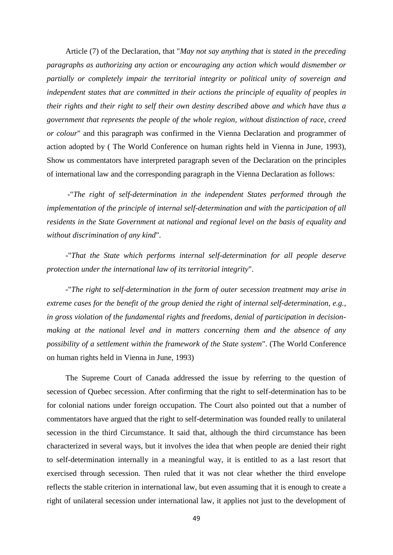Article (7) of the Declaration, that "*May not say anything that is stated in the preceding paragraphs as authorizing any action or encouraging any action which would dismember or partially or completely impair the territorial integrity or political unity of sovereign and independent states that are committed in their actions the principle of equality of peoples in their rights and their right to self their own destiny described above and which have thus a government that represents the people of the whole region, without distinction of race, creed or colour*" and this paragraph was confirmed in the Vienna Declaration and programmer of action adopted by ( The World Conference on human rights held in Vienna in June, 1993), Show us commentators have interpreted paragraph seven of the Declaration on the principles of international law and the corresponding paragraph in the Vienna Declaration as follows:

-"*The right of self-determination in the independent States performed through the implementation of the principle of internal self-determination and with the participation of all residents in the State Government at national and regional level on the basis of equality and without discrimination of any kind*".

-"*That the State which performs internal self-determination for all people deserve protection under the international law of its territorial integrity*".

-"*The right to self-determination in the form of outer secession treatment may arise in extreme cases for the benefit of the group denied the right of internal self-determination, e.g., in gross violation of the fundamental rights and freedoms, denial of participation in decisionmaking at the national level and in matters concerning them and the absence of any possibility of a settlement within the framework of the State system*". (The World Conference on human rights held in Vienna in June, 1993)

The Supreme Court of Canada addressed the issue by referring to the question of secession of Quebec secession. After confirming that the right to self-determination has to be for colonial nations under foreign occupation. The Court also pointed out that a number of commentators have argued that the right to self-determination was founded really to unilateral secession in the third Circumstance. It said that, although the third circumstance has been characterized in several ways, but it involves the idea that when people are denied their right to self-determination internally in a meaningful way, it is entitled to as a last resort that exercised through secession. Then ruled that it was not clear whether the third envelope reflects the stable criterion in international law, but even assuming that it is enough to create a right of unilateral secession under international law, it applies not just to the development of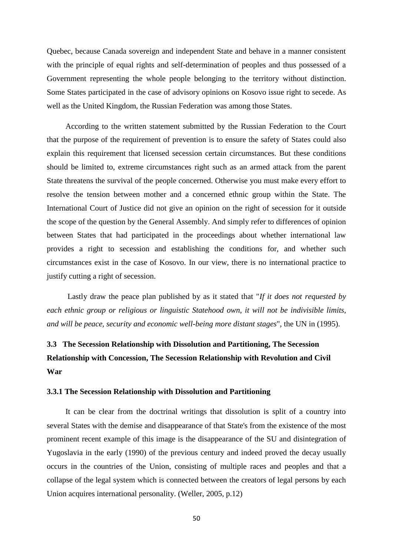Quebec, because Canada sovereign and independent State and behave in a manner consistent with the principle of equal rights and self-determination of peoples and thus possessed of a Government representing the whole people belonging to the territory without distinction. Some States participated in the case of advisory opinions on Kosovo issue right to secede. As well as the United Kingdom, the Russian Federation was among those States.

According to the written statement submitted by the Russian Federation to the Court that the purpose of the requirement of prevention is to ensure the safety of States could also explain this requirement that licensed secession certain circumstances. But these conditions should be limited to, extreme circumstances right such as an armed attack from the parent State threatens the survival of the people concerned. Otherwise you must make every effort to resolve the tension between mother and a concerned ethnic group within the State. The International Court of Justice did not give an opinion on the right of secession for it outside the scope of the question by the General Assembly. And simply refer to differences of opinion between States that had participated in the proceedings about whether international law provides a right to secession and establishing the conditions for, and whether such circumstances exist in the case of Kosovo. In our view, there is no international practice to justify cutting a right of secession.

Lastly draw the peace plan published by as it stated that "*If it does not requested by each ethnic group or religious or linguistic Statehood own, it will not be indivisible limits, and will be peace, security and economic well-being more distant stages*", the UN in (1995).

# <span id="page-58-0"></span>**3.3 The Secession Relationship with Dissolution and Partitioning, The Secession Relationship with Concession, The Secession Relationship with Revolution and Civil War**

#### <span id="page-58-1"></span>**3.3.1 The Secession Relationship with Dissolution and Partitioning**

It can be clear from the doctrinal writings that dissolution is split of a country into several States with the demise and disappearance of that State's from the existence of the most prominent recent example of this image is the disappearance of the SU and disintegration of Yugoslavia in the early (1990) of the previous century and indeed proved the decay usually occurs in the countries of the Union, consisting of multiple races and peoples and that a collapse of the legal system which is connected between the creators of legal persons by each Union acquires international personality. (Weller, 2005, p.12)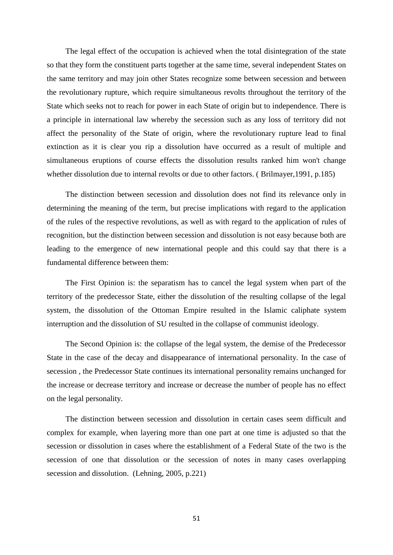The legal effect of the occupation is achieved when the total disintegration of the state so that they form the constituent parts together at the same time, several independent States on the same territory and may join other States recognize some between secession and between the revolutionary rupture, which require simultaneous revolts throughout the territory of the State which seeks not to reach for power in each State of origin but to independence. There is a principle in international law whereby the secession such as any loss of territory did not affect the personality of the State of origin, where the revolutionary rupture lead to final extinction as it is clear you rip a dissolution have occurred as a result of multiple and simultaneous eruptions of course effects the dissolution results ranked him won't change whether dissolution due to internal revolts or due to other factors. ( Brilmayer,1991, p.185)

The distinction between secession and dissolution does not find its relevance only in determining the meaning of the term, but precise implications with regard to the application of the rules of the respective revolutions, as well as with regard to the application of rules of recognition, but the distinction between secession and dissolution is not easy because both are leading to the emergence of new international people and this could say that there is a fundamental difference between them:

The First Opinion is: the separatism has to cancel the legal system when part of the territory of the predecessor State, either the dissolution of the resulting collapse of the legal system, the dissolution of the Ottoman Empire resulted in the Islamic caliphate system interruption and the dissolution of SU resulted in the collapse of communist ideology.

The Second Opinion is: the collapse of the legal system, the demise of the Predecessor State in the case of the decay and disappearance of international personality. In the case of secession , the Predecessor State continues its international personality remains unchanged for the increase or decrease territory and increase or decrease the number of people has no effect on the legal personality.

The distinction between secession and dissolution in certain cases seem difficult and complex for example, when layering more than one part at one time is adjusted so that the secession or dissolution in cases where the establishment of a Federal State of the two is the secession of one that dissolution or the secession of notes in many cases overlapping secession and dissolution. (Lehning, 2005, p.221)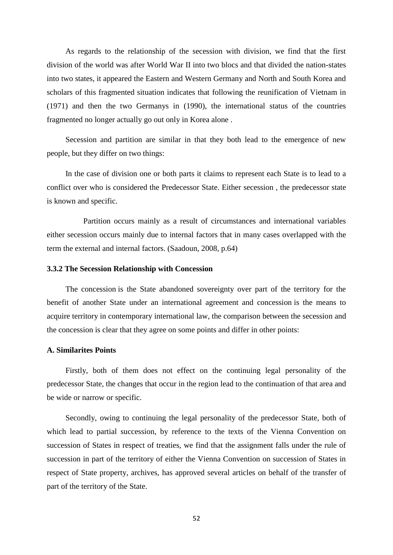As regards to the relationship of the secession with division, we find that the first division of the world was after World War II into two blocs and that divided the nation-states into two states, it appeared the Eastern and Western Germany and North and South Korea and scholars of this fragmented situation indicates that following the reunification of Vietnam in (1971) and then the two Germanys in (1990), the international status of the countries fragmented no longer actually go out only in Korea alone .

Secession and partition are similar in that they both lead to the emergence of new people, but they differ on two things:

In the case of division one or both parts it claims to represent each State is to lead to a conflict over who is considered the Predecessor State. Either secession , the predecessor state is known and specific.

Partition occurs mainly as a result of circumstances and international variables either secession occurs mainly due to internal factors that in many cases overlapped with the term the external and internal factors. (Saadoun, 2008, p.64)

#### <span id="page-60-0"></span>**3.3.2 The Secession Relationship with Concession**

The concession is the State abandoned sovereignty over part of the territory for the benefit of another State under an international agreement and concession is the means to acquire territory in contemporary international law, the comparison between the secession and the concession is clear that they agree on some points and differ in other points:

## **A. Similarites Points**

Firstly, both of them does not effect on the continuing legal personality of the predecessor State, the changes that occur in the region lead to the continuation of that area and be wide or narrow or specific.

Secondly, owing to continuing the legal personality of the predecessor State, both of which lead to partial succession, by reference to the texts of the Vienna Convention on succession of States in respect of treaties, we find that the assignment falls under the rule of succession in part of the territory of either the Vienna Convention on succession of States in respect of State property, archives, has approved several articles on behalf of the transfer of part of the territory of the State.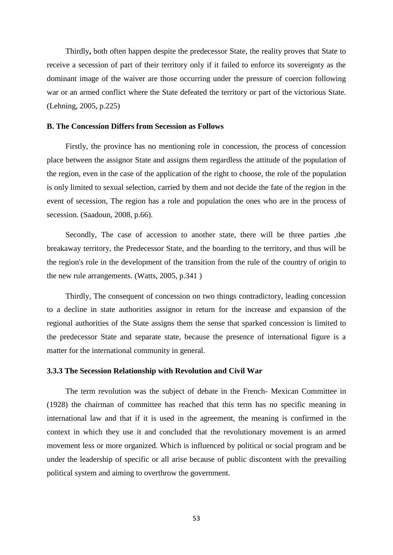Thirdly**,** both often happen despite the predecessor State, the reality proves that State to receive a secession of part of their territory only if it failed to enforce its sovereignty as the dominant image of the waiver are those occurring under the pressure of coercion following war or an armed conflict where the State defeated the territory or part of the victorious State. (Lehning, 2005, p.225)

### **B. The Concession Differs from Secession as Follows**

Firstly, the province has no mentioning role in concession, the process of concession place between the assignor State and assigns them regardless the attitude of the population of the region, even in the case of the application of the right to choose, the role of the population is only limited to sexual selection, carried by them and not decide the fate of the region in the event of secession, The region has a role and population the ones who are in the process of secession. (Saadoun, 2008, p.66).

Secondly, The case of accession to another state, there will be three parties ,the breakaway territory, the Predecessor State, and the boarding to the territory, and thus will be the region's role in the development of the transition from the rule of the country of origin to the new rule arrangements. (Watts, 2005, p.341 )

Thirdly, The consequent of concession on two things contradictory, leading concession to a decline in state authorities assignor in return for the increase and expansion of the regional authorities of the State assigns them the sense that sparked concession is limited to the predecessor State and separate state, because the presence of international figure is a matter for the international community in general.

#### <span id="page-61-0"></span>**3.3.3 The Secession Relationship with Revolution and Civil War**

The term revolution was the subject of debate in the French- Mexican Committee in (1928) the chairman of committee has reached that this term has no specific meaning in international law and that if it is used in the agreement, the meaning is confirmed in the context in which they use it and concluded that the revolutionary movement is an armed movement less or more organized. Which is influenced by political or social program and be under the leadership of specific or all arise because of public discontent with the prevailing political system and aiming to overthrow the government.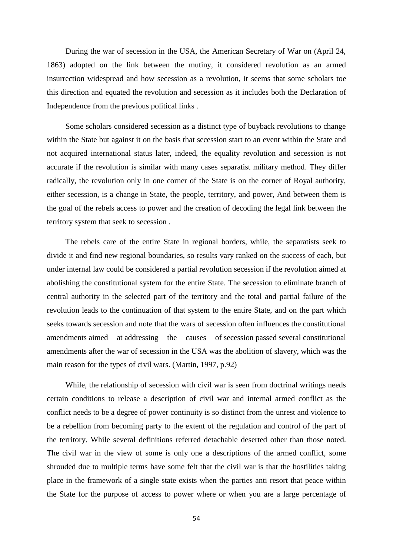During the war of secession in the USA, the American Secretary of War on (April 24, 1863) adopted on the link between the mutiny, it considered revolution as an armed insurrection widespread and how secession as a revolution, it seems that some scholars toe this direction and equated the revolution and secession as it includes both the Declaration of Independence from the previous political links .

Some scholars considered secession as a distinct type of buyback revolutions to change within the State but against it on the basis that secession start to an event within the State and not acquired international status later, indeed, the equality revolution and secession is not accurate if the revolution is similar with many cases separatist military method. They differ radically, the revolution only in one corner of the State is on the corner of Royal authority, either secession, is a change in State, the people, territory, and power, And between them is the goal of the rebels access to power and the creation of decoding the legal link between the territory system that seek to secession .

The rebels care of the entire State in regional borders, while, the separatists seek to divide it and find new regional boundaries, so results vary ranked on the success of each, but under internal law could be considered a partial revolution secession if the revolution aimed at abolishing the constitutional system for the entire State. The secession to eliminate branch of central authority in the selected part of the territory and the total and partial failure of the revolution leads to the continuation of that system to the entire State, and on the part which seeks towards secession and note that the wars of secession often influences the constitutional amendments aimed at addressing the causes of secession passed several constitutional amendments after the war of secession in the USA was the abolition of slavery, which was the main reason for the types of civil wars. (Martin, 1997, p.92)

While, the relationship of secession with civil war is seen from doctrinal writings needs certain conditions to release a description of civil war and internal armed conflict as the conflict needs to be a degree of power continuity is so distinct from the unrest and violence to be a rebellion from becoming party to the extent of the regulation and control of the part of the territory. While several definitions referred detachable deserted other than those noted. The civil war in the view of some is only one a descriptions of the armed conflict, some shrouded due to multiple terms have some felt that the civil war is that the hostilities taking place in the framework of a single state exists when the parties anti resort that peace within the State for the purpose of access to power where or when you are a large percentage of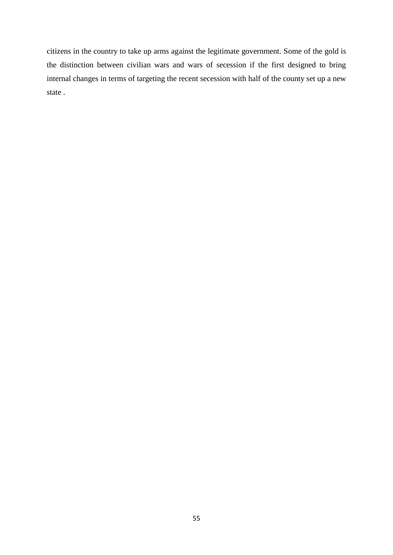citizens in the country to take up arms against the legitimate government. Some of the gold is the distinction between civilian wars and wars of secession if the first designed to bring internal changes in terms of targeting the recent secession with half of the county set up a new state .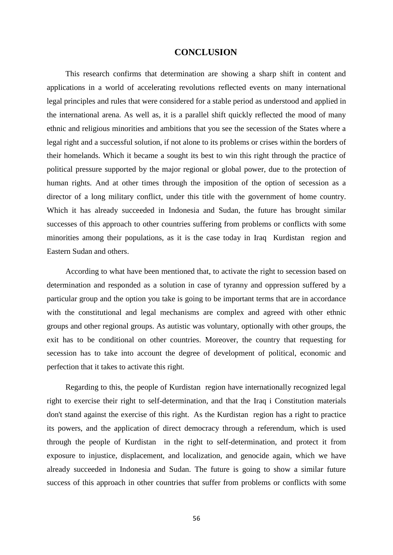## **CONCLUSION**

<span id="page-64-0"></span>This research confirms that determination are showing a sharp shift in content and applications in a world of accelerating revolutions reflected events on many international legal principles and rules that were considered for a stable period as understood and applied in the international arena. As well as, it is a parallel shift quickly reflected the mood of many ethnic and religious minorities and ambitions that you see the secession of the States where a legal right and a successful solution, if not alone to its problems or crises within the borders of their homelands. Which it became a sought its best to win this right through the practice of political pressure supported by the major regional or global power, due to the protection of human rights. And at other times through the imposition of the option of secession as a director of a long military conflict, under this title with the government of home country. Which it has already succeeded in Indonesia and Sudan, the future has brought similar successes of this approach to other countries suffering from problems or conflicts with some minorities among their populations, as it is the case today in Iraq Kurdistan region and Eastern Sudan and others.

According to what have been mentioned that, to activate the right to secession based on determination and responded as a solution in case of tyranny and oppression suffered by a particular group and the option you take is going to be important terms that are in accordance with the constitutional and legal mechanisms are complex and agreed with other ethnic groups and other regional groups. As autistic was voluntary, optionally with other groups, the exit has to be conditional on other countries. Moreover, the country that requesting for secession has to take into account the degree of development of political, economic and perfection that it takes to activate this right.

Regarding to this, the people of Kurdistan region have internationally recognized legal right to exercise their right to self-determination, and that the Iraq i Constitution materials don't stand against the exercise of this right. As the Kurdistan region has a right to practice its powers, and the application of direct democracy through a referendum, which is used through the people of Kurdistan in the right to self-determination, and protect it from exposure to injustice, displacement, and localization, and genocide again, which we have already succeeded in Indonesia and Sudan. The future is going to show a similar future success of this approach in other countries that suffer from problems or conflicts with some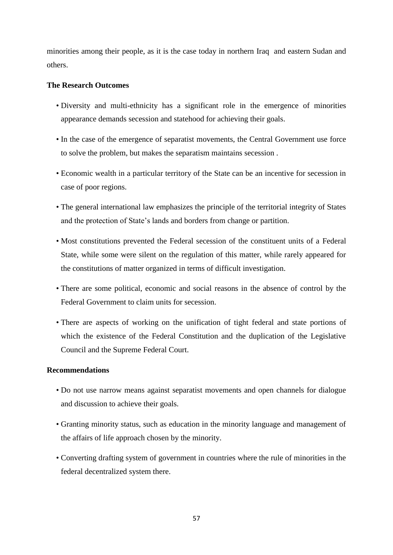minorities among their people, as it is the case today in northern Iraq and eastern Sudan and others.

## **The Research Outcomes**

- Diversity and multi-ethnicity has a significant role in the emergence of minorities appearance demands secession and statehood for achieving their goals.
- In the case of the emergence of separatist movements, the Central Government use force to solve the problem, but makes the separatism maintains secession .
- Economic wealth in a particular territory of the State can be an incentive for secession in case of poor regions.
- The general international law emphasizes the principle of the territorial integrity of States and the protection of State's lands and borders from change or partition.
- Most constitutions prevented the Federal secession of the constituent units of a Federal State, while some were silent on the regulation of this matter, while rarely appeared for the constitutions of matter organized in terms of difficult investigation.
- There are some political, economic and social reasons in the absence of control by the Federal Government to claim units for secession.
- There are aspects of working on the unification of tight federal and state portions of which the existence of the Federal Constitution and the duplication of the Legislative Council and the Supreme Federal Court.

## <span id="page-65-0"></span>**Recommendations**

- Do not use narrow means against separatist movements and open channels for dialogue and discussion to achieve their goals.
- Granting minority status, such as education in the minority language and management of the affairs of life approach chosen by the minority.
- Converting drafting system of government in countries where the rule of minorities in the federal decentralized system there.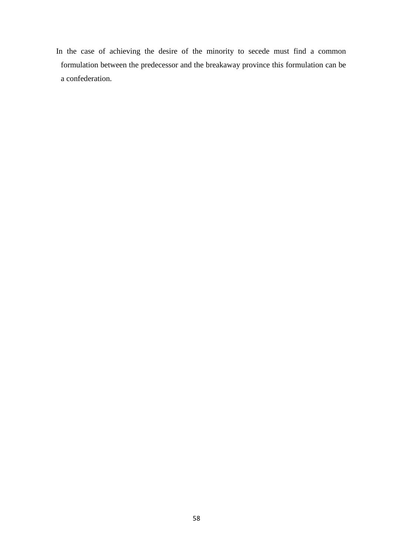In the case of achieving the desire of the minority to secede must find a common formulation between the predecessor and the breakaway province this formulation can be a confederation.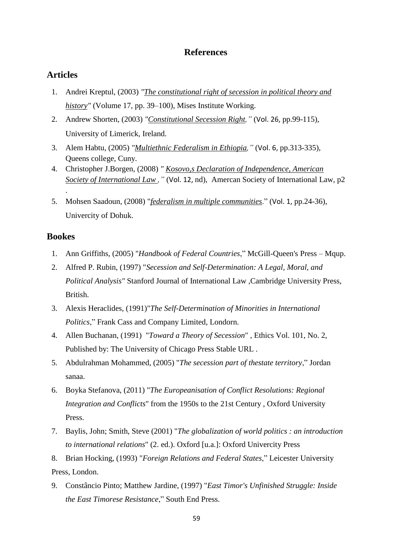# **References**

# <span id="page-67-0"></span>**Articles**

- 1. Andrei Kreptul, (2003) *"The constitutional right of secession in political theory and history"* (Volume 17, pp. 39–100), Mises Institute Working.
- 2. Andrew Shorten, (2003) *"Constitutional Secession Right,"* (Vol. 26, pp.99-115), University of Limerick, Ireland.
- 3. Alem Habtu, (2005) *"Multiethnic Federalism in Ethiopia,"* (Vol. 6, pp.313-335), Queens college, Cuny.
- 4. Christopher J.Borgen, (2008) *" Kosovo,s Declaration of Independence, American Society of International Law ,"* (Vol. 12, nd), Amercan Society of International Law, p2
- 5. Mohsen Saadoun, (2008) "*federalism in multiple communities*." (Vol. 1, pp.24-36), Univercity of Dohuk.

## **Bookes**

.

- 1. Ann Griffiths, (2005) "*Handbook of Federal Countries*," McGill-Queen's Press Mqup.
- 2. Alfred P. Rubin, (1997) "*Secession and Self-Determination: A Legal, Moral, and Political Analysis"* Stanford Journal of International Law ,Cambridge University Press, British.
- 3. Alexis Heraclides, (1991)"*The Self-Determination of Minorities in International Politics*," Frank Cass and Company Limited, Londorn.
- 4. Allen Buchanan, (1991) "*Toward a Theory of Secession*" , Ethics Vol. 101, No. 2, Published by: [The University of Chicago Press](http://www.jstor.org/publisher/ucpress) Stable URL .
- 5. Abdulrahman Mohammed, (2005) "*The secession part of thestate territory*," Jordan sanaa.
- 6. Boyka Stefanova, (2011) "*The Europeanisation of Conflict Resolutions: Regional Integration and Conflicts*" from the 1950s to the 21st Century , Oxford University Press.
- 7. Baylis, John; Smith, Steve (2001) "*The globalization of world politics : an introduction to international relations*" (2. ed.). Oxford [u.a.]: Oxford Univercity Press

8. Brian Hocking, (1993) "*Foreign Relations and Federal States*," Leicester University Press, London.

9. Constâncio Pinto; Matthew Jardine, (1997) "*[East Timor's Unfinished Struggle: Inside](https://books.google.com/books?id=CdHlt6CSp54C&pg=PA263)  [the East Timorese Resistance](https://books.google.com/books?id=CdHlt6CSp54C&pg=PA263)*," South End Press.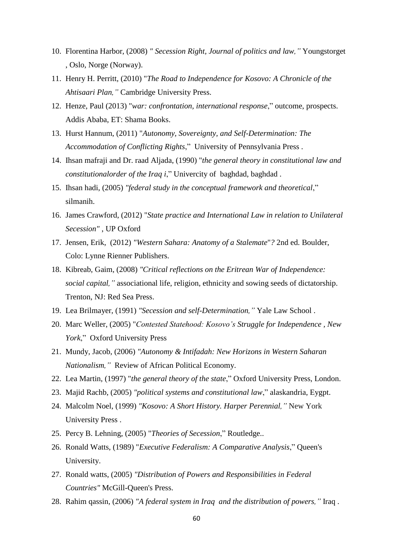- 10. Florentina Harbor, (2008) *" Secession Right, Journal of politics and law,"* Youngstorget , Oslo, Norge (Norway).
- 11. Henry H. Perritt, (2010) "*The Road to Independence for Kosovo: A Chronicle of the Ahtisaari Plan,"* Cambridge University Press.
- 12. Henze, Paul (2013) "*war: confrontation, international response*," outcome, prospects. Addis Ababa, ET: Shama Books.
- 13. [Hurst Hannum,](https://www.google.iq/search?hl=ar&tbo=p&tbm=bks&q=inauthor:%22Hurst+Hannum%22&source=gbs_metadata_r&cad=7) (2011) "*Autonomy, Sovereignty, and Self-Determination: The Accommodation of Conflicting Rights*," University of Pennsylvania Press .
- 14. Ihsan mafraji and Dr. raad Aljada, (1990) "*the general theory in constitutional law and constitutionalorder of the Iraq i*," Univercity of baghdad, baghdad .
- 15. Ihsan hadi, (2005) *"federal study in the conceptual framework and theoretical*," silmanih.
- 16. James Crawford, (2012) "*State practice and International Law in relation to Unilateral Secession"* , UP Oxford
- 17. Jensen, Erik, (2012) *"Western Sahara: Anatomy of a Stalemate*"*?* 2nd ed. Boulder, Colo: Lynne Rienner Publishers.
- 18. Kibreab, Gaim, (2008) *"Critical reflections on the Eritrean War of Independence: social capital,"* associational life, religion, ethnicity and sowing seeds of dictatorship. Trenton, NJ: Red Sea Press.
- 19. Lea Brilmayer, (1991) *"Secession and self-Determination,"* Yale Law School .
- 20. Marc Weller, (2005) "*Contested Statehood: Kosovo's Struggle for Independence , New York*," Oxford University Press
- 21. Mundy, Jacob, (2006) *"Autonomy & Intifadah: New Horizons in Western Saharan Nationalism,"* Review of African Political Economy.
- 22. Lea Martin, (1997) "*the general theory of the state*," Oxford University Press, London.
- 23. Majid Rachb, (2005) *"political systems and constitutional law*," alaskandria, Eygpt.
- 24. Malcolm Noel, (1999) *"Kosovo: A Short History. Harper Perennial,"* New York [University Press .](https://www.amazon.com/s/ref=dp_byline_sr_book_2?ie=UTF8&text=University+Pres+New+York&search-alias=books&field-author=University+Pres+New+York&sort=relevancerank)
- 25. Percy B. Lehning, (2005) "*Theories of Secession*," Routledge..
- 26. Ronald Watts, (1989) "*Executive Federalism: A Comparative Analysis*," Queen's University.
- 27. Ronald watts, (2005) *"Distribution of Powers and Responsibilities in Federal Countries"* McGill-Queen's Press.
- 28. Rahim qassin, (2006) *"A federal system in Iraq and the distribution of powers,"* Iraq .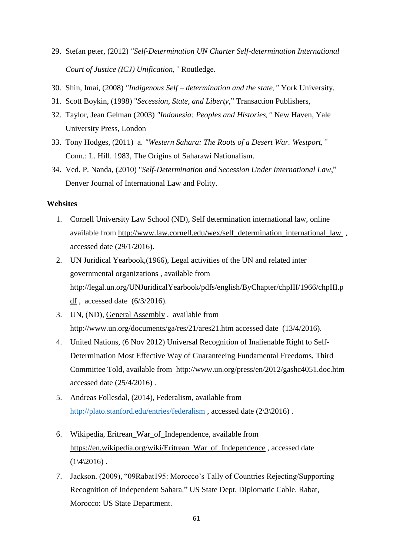- 29. Stefan peter, (2012) *"Self-Determination UN Charter Self-determination International Court of Justice (ICJ) Unification,"* Routledge.
- 30. Shin, Imai, (2008) *"Indigenous Self – determination and the state,"* York University.
- 31. Scott Boykin, (1998) "*Secession, State, and Liberty*," Transaction Publishers,
- 32. Taylor, Jean Gelman (2003) *"Indonesia: Peoples and Histories,"* New Haven, Yale University Press, London
- 33. [Tony Hodges,](https://www.google.iq/search?hl=ar&tbo=p&tbm=bks&q=inauthor:%22Tony+Hodges%22&source=gbs_metadata_r&cad=8) (2011) a. *"Western Sahara: The Roots of a Desert War. Westport,"* Conn.: L. Hill. 1983, The Origins of Saharawi Nationalism.
- 34. Ved. P. Nanda, (2010) "*Self-Determination and Secession Under International Law*," Denver Journal of International Law and Polity.

## **Websites**

- 1. Cornell University Law School (ND), Self determination international law, online available from [http://www.law.cornell.edu/wex/self\\_determination\\_international\\_law](http://www.law.cornell.edu/wex/self_determination_international_law) , accessed date (29/1/2016).
- 2. UN Juridical Yearbook,(1966), Legal activities of the UN and related inter governmental organizations , available from [http://legal.un.org/UNJuridicalYearbook/pdfs/english/ByChapter/chpIII/1966/chpIII.p](http://legal.un.org/UNJuridicalYearbook/pdfs/english/ByChapter/chpIII/1966/chpIII.pdf) [df](http://legal.un.org/UNJuridicalYearbook/pdfs/english/ByChapter/chpIII/1966/chpIII.pdf) , accessed date (6/3/2016).
- 3. UN, (ND), [General Assembly](http://www.un.org/ga/) , available from <http://www.un.org/documents/ga/res/21/ares21.htm> accessed date (13/4/2016).
- 4. United Nations, (6 Nov 2012) Universal Recognition of Inalienable Right to Self-Determination Most Effective Way of Guaranteeing Fundamental Freedoms, Third Committee Told, available from <http://www.un.org/press/en/2012/gashc4051.doc.htm> accessed date (25/4/2016) .
- 5. Andreas Follesdal, (2014), Federalism, available from <http://plato.stanford.edu/entries/federalism>, accessed date (2\3\2016).
- 6. Wikipedia, Eritrean\_War\_of\_Independence, available from [https://en.wikipedia.org/wiki/Eritrean\\_War\\_of\\_Independence](https://en.wikipedia.org/wiki/Eritrean_War_of_Independence) , accessed date  $(1\frac{4}{2016})$ .
- 7. Jackson. (2009), "09Rabat195: Morocco's Tally of Countries Rejecting/Supporting Recognition of Independent Sahara." US State Dept. Diplomatic Cable. Rabat, Morocco: US State Department.